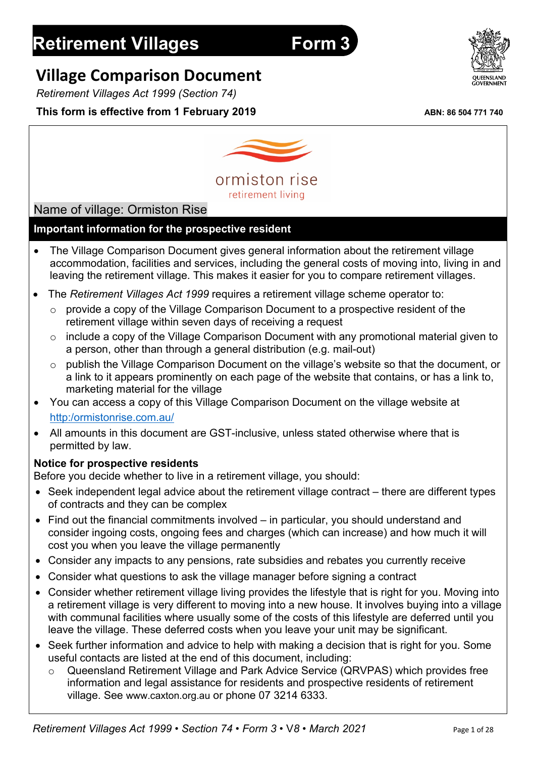# **Retirement Villages Form 3**

Name of village: Ormiston Rise

## **Village Comparison Document**

*Retirement Villages Act 1999 (Section 74)*

## **This form is effective from 1 February 2019** ABN: 86 504 771 740

**Important information for the prospective resident**

• The Village Comparison Document gives general information about the retirement village accommodation, facilities and services, including the general costs of moving into, living in and leaving the retirement village. This makes it easier for you to compare retirement villages.

- The *Retirement Villages Act 1999* requires a retirement village scheme operator to:
	- o provide a copy of the Village Comparison Document to a prospective resident of the retirement village within seven days of receiving a request
	- o include a copy of the Village Comparison Document with any promotional material given to a person, other than through a general distribution (e.g. mail-out)
	- o publish the Village Comparison Document on the village's website so that the document, or a link to it appears prominently on each page of the website that contains, or has a link to, marketing material for the village
- You can access a copy of this Village Comparison Document on the village website at http:/ormistonrise.com.au/
- All amounts in this document are GST-inclusive, unless stated otherwise where that is permitted by law.

#### **Notice for prospective residents**

Before you decide whether to live in a retirement village, you should:

- Seek independent legal advice about the retirement village contract there are different types of contracts and they can be complex
- Find out the financial commitments involved in particular, you should understand and consider ingoing costs, ongoing fees and charges (which can increase) and how much it will cost you when you leave the village permanently
- Consider any impacts to any pensions, rate subsidies and rebates you currently receive
- Consider what questions to ask the village manager before signing a contract
- Consider whether retirement village living provides the lifestyle that is right for you. Moving into a retirement village is very different to moving into a new house. It involves buying into a village with communal facilities where usually some of the costs of this lifestyle are deferred until you leave the village. These deferred costs when you leave your unit may be significant.
- Seek further information and advice to help with making a decision that is right for you. Some useful contacts are listed at the end of this document, including:
	- o Queensland Retirement Village and Park Advice Service (QRVPAS) which provides free information and legal assistance for residents and prospective residents of retirement





retirement living

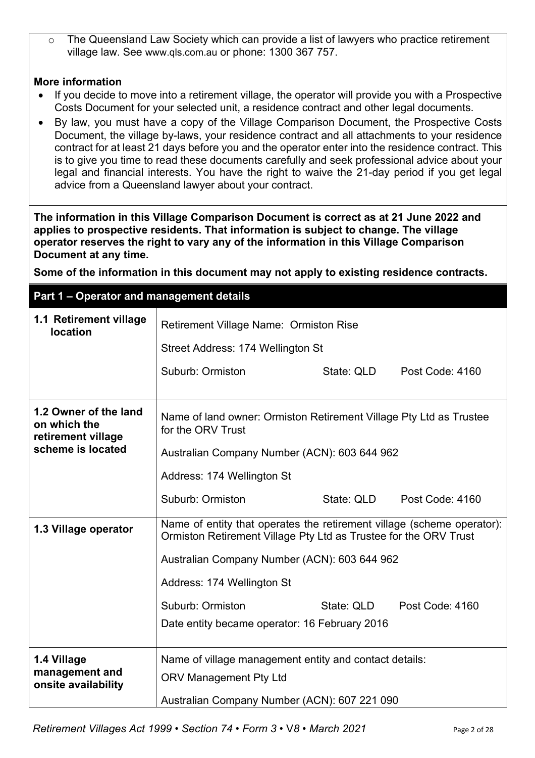o The Queensland Law Society which can provide a list of lawyers who practice retirement village law. See www.qls.com.au or phone: 1300 367 757.

#### **More information**

- If you decide to move into a retirement village, the operator will provide you with a Prospective Costs Document for your selected unit, a residence contract and other legal documents.
- By law, you must have a copy of the Village Comparison Document, the Prospective Costs Document, the village by-laws, your residence contract and all attachments to your residence contract for at least 21 days before you and the operator enter into the residence contract. This is to give you time to read these documents carefully and seek professional advice about your legal and financial interests. You have the right to waive the 21-day period if you get legal advice from a Queensland lawyer about your contract.

**The information in this Village Comparison Document is correct as at 21 June 2022 and applies to prospective residents. That information is subject to change. The village operator reserves the right to vary any of the information in this Village Comparison Document at any time.**

**Some of the information in this document may not apply to existing residence contracts.**

**Part 1 – Operator and management details**

| 1.1 Retirement village<br><b>location</b>                   | Retirement Village Name: Ormiston Rise                                                                                                     |            |                 |  |
|-------------------------------------------------------------|--------------------------------------------------------------------------------------------------------------------------------------------|------------|-----------------|--|
|                                                             | Street Address: 174 Wellington St                                                                                                          |            |                 |  |
|                                                             | Suburb: Ormiston                                                                                                                           | State: QLD | Post Code: 4160 |  |
| 1.2 Owner of the land<br>on which the<br>retirement village | Name of land owner: Ormiston Retirement Village Pty Ltd as Trustee<br>for the ORV Trust                                                    |            |                 |  |
| scheme is located                                           | Australian Company Number (ACN): 603 644 962                                                                                               |            |                 |  |
|                                                             | Address: 174 Wellington St                                                                                                                 |            |                 |  |
|                                                             | Suburb: Ormiston                                                                                                                           | State: QLD | Post Code: 4160 |  |
| 1.3 Village operator                                        | Name of entity that operates the retirement village (scheme operator):<br>Ormiston Retirement Village Pty Ltd as Trustee for the ORV Trust |            |                 |  |
|                                                             | Australian Company Number (ACN): 603 644 962                                                                                               |            |                 |  |
|                                                             | Address: 174 Wellington St                                                                                                                 |            |                 |  |
|                                                             | Suburb: Ormiston                                                                                                                           | State: QLD | Post Code: 4160 |  |
|                                                             | Date entity became operator: 16 February 2016                                                                                              |            |                 |  |
| 1.4 Village                                                 | Name of village management entity and contact details:                                                                                     |            |                 |  |
| management and<br>onsite availability                       | <b>ORV Management Pty Ltd</b>                                                                                                              |            |                 |  |
|                                                             | Australian Company Number (ACN): 607 221 090                                                                                               |            |                 |  |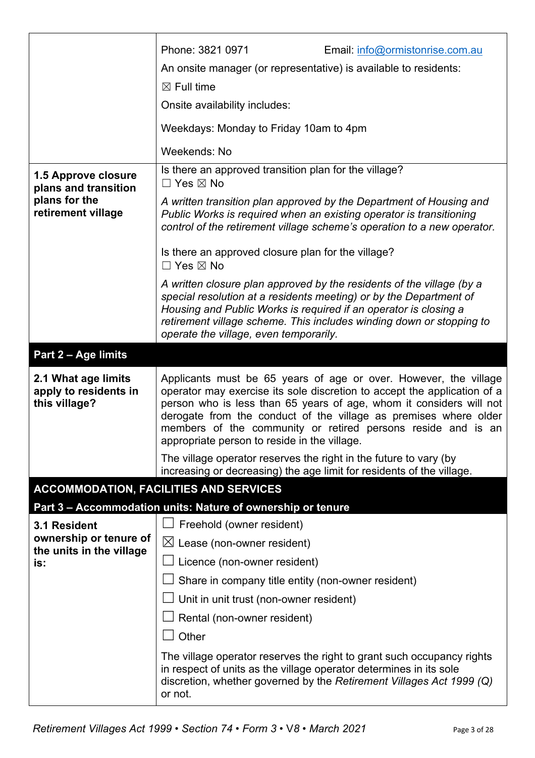|                                                                                    | Phone: 3821 0971<br>Email: info@ormistonrise.com.au<br>An onsite manager (or representative) is available to residents:<br>$\boxtimes$ Full time<br>Onsite availability includes:<br>Weekdays: Monday to Friday 10am to 4pm<br>Weekends: No                                                                                                                                                             |
|------------------------------------------------------------------------------------|---------------------------------------------------------------------------------------------------------------------------------------------------------------------------------------------------------------------------------------------------------------------------------------------------------------------------------------------------------------------------------------------------------|
| 1.5 Approve closure<br>plans and transition<br>plans for the<br>retirement village | Is there an approved transition plan for the village?<br>$\square$ Yes $\boxtimes$ No<br>A written transition plan approved by the Department of Housing and<br>Public Works is required when an existing operator is transitioning<br>control of the retirement village scheme's operation to a new operator.<br>Is there an approved closure plan for the village?<br>$\Box$ Yes $\boxtimes$ No       |
|                                                                                    | A written closure plan approved by the residents of the village (by a<br>special resolution at a residents meeting) or by the Department of<br>Housing and Public Works is required if an operator is closing a<br>retirement village scheme. This includes winding down or stopping to<br>operate the village, even temporarily.                                                                       |
| Part 2 - Age limits                                                                |                                                                                                                                                                                                                                                                                                                                                                                                         |
| 2.1 What age limits<br>apply to residents in<br>this village?                      | Applicants must be 65 years of age or over. However, the village<br>operator may exercise its sole discretion to accept the application of a<br>person who is less than 65 years of age, whom it considers will not<br>derogate from the conduct of the village as premises where older<br>members of the community or retired persons reside and is an<br>appropriate person to reside in the village. |
|                                                                                    | The village operator reserves the right in the future to vary (by<br>increasing or decreasing) the age limit for residents of the village.                                                                                                                                                                                                                                                              |
|                                                                                    | <b>ACCOMMODATION, FACILITIES AND SERVICES</b>                                                                                                                                                                                                                                                                                                                                                           |
|                                                                                    | Part 3 – Accommodation units: Nature of ownership or tenure                                                                                                                                                                                                                                                                                                                                             |
| 3.1 Resident                                                                       | Freehold (owner resident)                                                                                                                                                                                                                                                                                                                                                                               |
| ownership or tenure of<br>the units in the village                                 | $\boxtimes$ Lease (non-owner resident)                                                                                                                                                                                                                                                                                                                                                                  |
| is:                                                                                | Licence (non-owner resident)                                                                                                                                                                                                                                                                                                                                                                            |
|                                                                                    | Share in company title entity (non-owner resident)                                                                                                                                                                                                                                                                                                                                                      |
|                                                                                    | Unit in unit trust (non-owner resident)                                                                                                                                                                                                                                                                                                                                                                 |
|                                                                                    | Rental (non-owner resident)<br>Other                                                                                                                                                                                                                                                                                                                                                                    |
|                                                                                    |                                                                                                                                                                                                                                                                                                                                                                                                         |
|                                                                                    | The village operator reserves the right to grant such occupancy rights<br>in respect of units as the village operator determines in its sole<br>discretion, whether governed by the Retirement Villages Act 1999 (Q)<br>or not.                                                                                                                                                                         |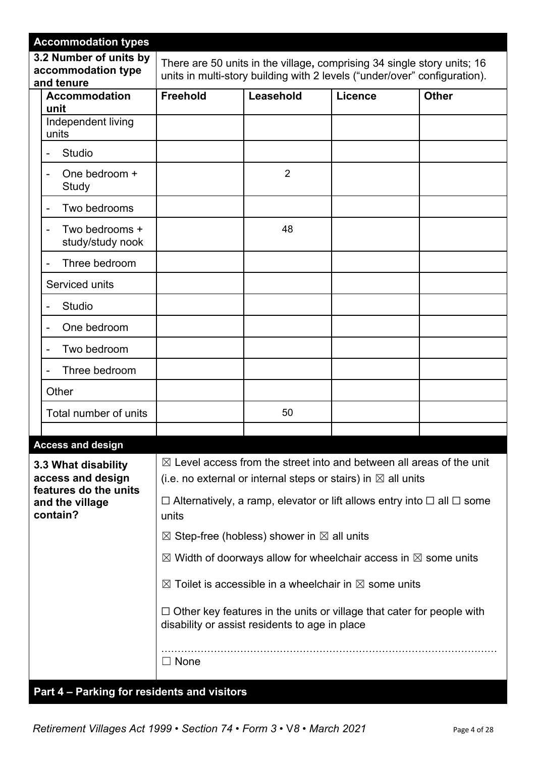| <b>Accommodation types</b>                                                                       |                                             |                                                                                                                                                                                                                                                                                                                                                                                                                                                                                                                                                                                                                                 |         |              |
|--------------------------------------------------------------------------------------------------|---------------------------------------------|---------------------------------------------------------------------------------------------------------------------------------------------------------------------------------------------------------------------------------------------------------------------------------------------------------------------------------------------------------------------------------------------------------------------------------------------------------------------------------------------------------------------------------------------------------------------------------------------------------------------------------|---------|--------------|
| 3.2 Number of units by<br>accommodation type<br>and tenure                                       |                                             | There are 50 units in the village, comprising 34 single story units; 16<br>units in multi-story building with 2 levels ("under/over" configuration).                                                                                                                                                                                                                                                                                                                                                                                                                                                                            |         |              |
| <b>Accommodation</b><br>unit                                                                     | <b>Freehold</b>                             | Leasehold                                                                                                                                                                                                                                                                                                                                                                                                                                                                                                                                                                                                                       | Licence | <b>Other</b> |
| Independent living<br>units                                                                      |                                             |                                                                                                                                                                                                                                                                                                                                                                                                                                                                                                                                                                                                                                 |         |              |
| Studio                                                                                           |                                             |                                                                                                                                                                                                                                                                                                                                                                                                                                                                                                                                                                                                                                 |         |              |
| One bedroom +<br>Study                                                                           |                                             | $\overline{2}$                                                                                                                                                                                                                                                                                                                                                                                                                                                                                                                                                                                                                  |         |              |
| Two bedrooms                                                                                     |                                             |                                                                                                                                                                                                                                                                                                                                                                                                                                                                                                                                                                                                                                 |         |              |
| Two bedrooms +<br>study/study nook                                                               |                                             | 48                                                                                                                                                                                                                                                                                                                                                                                                                                                                                                                                                                                                                              |         |              |
| Three bedroom                                                                                    |                                             |                                                                                                                                                                                                                                                                                                                                                                                                                                                                                                                                                                                                                                 |         |              |
| Serviced units                                                                                   |                                             |                                                                                                                                                                                                                                                                                                                                                                                                                                                                                                                                                                                                                                 |         |              |
| Studio                                                                                           |                                             |                                                                                                                                                                                                                                                                                                                                                                                                                                                                                                                                                                                                                                 |         |              |
| One bedroom                                                                                      |                                             |                                                                                                                                                                                                                                                                                                                                                                                                                                                                                                                                                                                                                                 |         |              |
| Two bedroom                                                                                      |                                             |                                                                                                                                                                                                                                                                                                                                                                                                                                                                                                                                                                                                                                 |         |              |
| Three bedroom                                                                                    |                                             |                                                                                                                                                                                                                                                                                                                                                                                                                                                                                                                                                                                                                                 |         |              |
| Other                                                                                            |                                             |                                                                                                                                                                                                                                                                                                                                                                                                                                                                                                                                                                                                                                 |         |              |
| Total number of units                                                                            |                                             | 50                                                                                                                                                                                                                                                                                                                                                                                                                                                                                                                                                                                                                              |         |              |
| <b>Access and design</b>                                                                         |                                             |                                                                                                                                                                                                                                                                                                                                                                                                                                                                                                                                                                                                                                 |         |              |
| 3.3 What disability<br>access and design<br>features do the units<br>and the village<br>contain? | units                                       | $\boxtimes$ Level access from the street into and between all areas of the unit<br>(i.e. no external or internal steps or stairs) in $\boxtimes$ all units<br>$\Box$ Alternatively, a ramp, elevator or lift allows entry into $\Box$ all $\Box$ some<br>$\boxtimes$ Step-free (hobless) shower in $\boxtimes$ all units<br>$\boxtimes$ Width of doorways allow for wheelchair access in $\boxtimes$ some units<br>$\boxtimes$ Toilet is accessible in a wheelchair in $\boxtimes$ some units<br>$\Box$ Other key features in the units or village that cater for people with<br>disability or assist residents to age in place |         |              |
|                                                                                                  | $\Box$ None                                 |                                                                                                                                                                                                                                                                                                                                                                                                                                                                                                                                                                                                                                 |         |              |
|                                                                                                  | Part 4 - Parking for residents and visitors |                                                                                                                                                                                                                                                                                                                                                                                                                                                                                                                                                                                                                                 |         |              |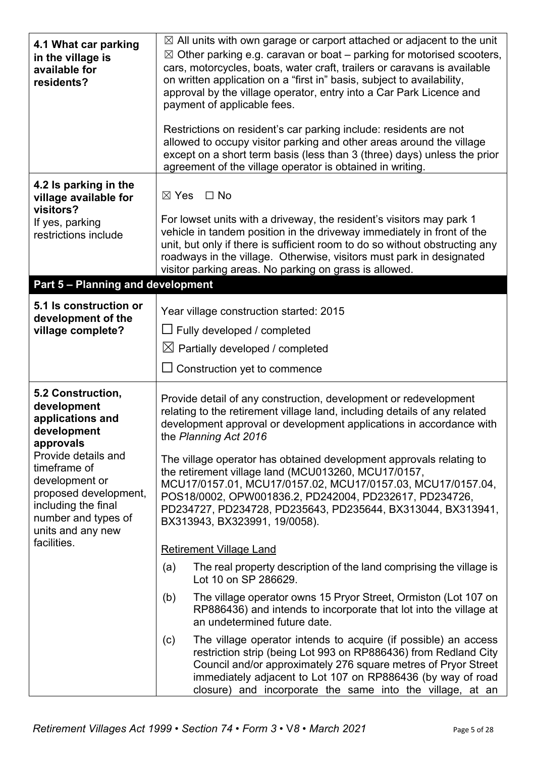| 4.1 What car parking<br>in the village is<br>available for<br>residents?                                                                          | $\boxtimes$ All units with own garage or carport attached or adjacent to the unit<br>$\boxtimes$ Other parking e.g. caravan or boat – parking for motorised scooters,<br>cars, motorcycles, boats, water craft, trailers or caravans is available<br>on written application on a "first in" basis, subject to availability,<br>approval by the village operator, entry into a Car Park Licence and<br>payment of applicable fees.<br>Restrictions on resident's car parking include: residents are not<br>allowed to occupy visitor parking and other areas around the village<br>except on a short term basis (less than 3 (three) days) unless the prior<br>agreement of the village operator is obtained in writing. |  |  |  |
|---------------------------------------------------------------------------------------------------------------------------------------------------|-------------------------------------------------------------------------------------------------------------------------------------------------------------------------------------------------------------------------------------------------------------------------------------------------------------------------------------------------------------------------------------------------------------------------------------------------------------------------------------------------------------------------------------------------------------------------------------------------------------------------------------------------------------------------------------------------------------------------|--|--|--|
| 4.2 Is parking in the<br>village available for<br>visitors?                                                                                       | $\Box$ No<br>$\boxtimes$ Yes                                                                                                                                                                                                                                                                                                                                                                                                                                                                                                                                                                                                                                                                                            |  |  |  |
| If yes, parking<br>restrictions include                                                                                                           | For lowset units with a driveway, the resident's visitors may park 1<br>vehicle in tandem position in the driveway immediately in front of the<br>unit, but only if there is sufficient room to do so without obstructing any<br>roadways in the village. Otherwise, visitors must park in designated<br>visitor parking areas. No parking on grass is allowed.                                                                                                                                                                                                                                                                                                                                                         |  |  |  |
| Part 5 - Planning and development                                                                                                                 |                                                                                                                                                                                                                                                                                                                                                                                                                                                                                                                                                                                                                                                                                                                         |  |  |  |
| 5.1 Is construction or<br>development of the                                                                                                      | Year village construction started: 2015                                                                                                                                                                                                                                                                                                                                                                                                                                                                                                                                                                                                                                                                                 |  |  |  |
| village complete?                                                                                                                                 | $\Box$ Fully developed / completed                                                                                                                                                                                                                                                                                                                                                                                                                                                                                                                                                                                                                                                                                      |  |  |  |
|                                                                                                                                                   | $\boxtimes$ Partially developed / completed                                                                                                                                                                                                                                                                                                                                                                                                                                                                                                                                                                                                                                                                             |  |  |  |
|                                                                                                                                                   | $\Box$ Construction yet to commence                                                                                                                                                                                                                                                                                                                                                                                                                                                                                                                                                                                                                                                                                     |  |  |  |
| 5.2 Construction,<br>development<br>applications and<br>development<br>approvals                                                                  | Provide detail of any construction, development or redevelopment<br>relating to the retirement village land, including details of any related<br>development approval or development applications in accordance with<br>the Planning Act 2016                                                                                                                                                                                                                                                                                                                                                                                                                                                                           |  |  |  |
| Provide details and<br>timeframe of<br>development or<br>proposed development,<br>including the final<br>number and types of<br>units and any new | The village operator has obtained development approvals relating to<br>the retirement village land (MCU013260, MCU17/0157,<br>MCU17/0157.01, MCU17/0157.02, MCU17/0157.03, MCU17/0157.04,<br>POS18/0002, OPW001836.2, PD242004, PD232617, PD234726,<br>PD234727, PD234728, PD235643, PD235644, BX313044, BX313941,<br>BX313943, BX323991, 19/0058).                                                                                                                                                                                                                                                                                                                                                                     |  |  |  |
| facilities.                                                                                                                                       | <b>Retirement Village Land</b>                                                                                                                                                                                                                                                                                                                                                                                                                                                                                                                                                                                                                                                                                          |  |  |  |
|                                                                                                                                                   | The real property description of the land comprising the village is<br>(a)<br>Lot 10 on SP 286629.                                                                                                                                                                                                                                                                                                                                                                                                                                                                                                                                                                                                                      |  |  |  |
|                                                                                                                                                   | The village operator owns 15 Pryor Street, Ormiston (Lot 107 on<br>(b)<br>RP886436) and intends to incorporate that lot into the village at<br>an undetermined future date.                                                                                                                                                                                                                                                                                                                                                                                                                                                                                                                                             |  |  |  |
|                                                                                                                                                   | The village operator intends to acquire (if possible) an access<br>(c)<br>restriction strip (being Lot 993 on RP886436) from Redland City<br>Council and/or approximately 276 square metres of Pryor Street<br>immediately adjacent to Lot 107 on RP886436 (by way of road<br>closure) and incorporate the same into the village, at an                                                                                                                                                                                                                                                                                                                                                                                 |  |  |  |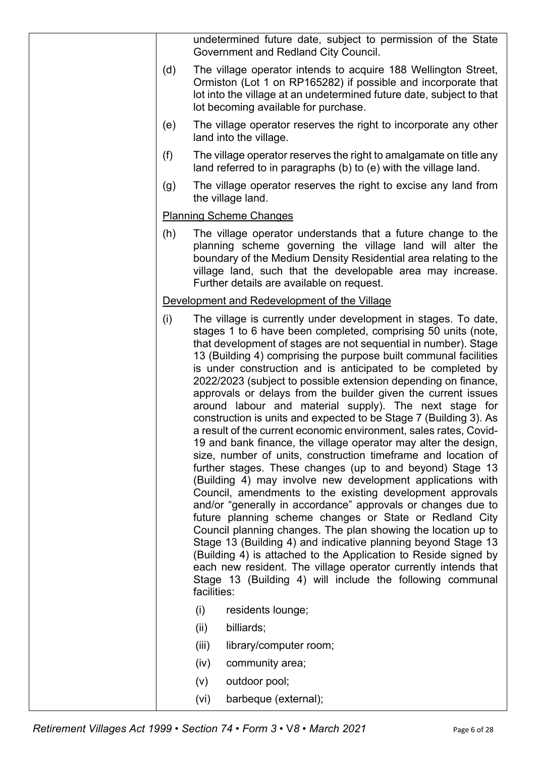|     | undetermined future date, subject to permission of the State<br>Government and Redland City Council.                                                                                                                                                                                                                                                                                                                                                                                                                                                                                                                                                                                                                                                                                                                                                                                                                                                                                                                                                                                                                                                                                                                                                                                                                                                                                                                                                                                   |
|-----|----------------------------------------------------------------------------------------------------------------------------------------------------------------------------------------------------------------------------------------------------------------------------------------------------------------------------------------------------------------------------------------------------------------------------------------------------------------------------------------------------------------------------------------------------------------------------------------------------------------------------------------------------------------------------------------------------------------------------------------------------------------------------------------------------------------------------------------------------------------------------------------------------------------------------------------------------------------------------------------------------------------------------------------------------------------------------------------------------------------------------------------------------------------------------------------------------------------------------------------------------------------------------------------------------------------------------------------------------------------------------------------------------------------------------------------------------------------------------------------|
| (d) | The village operator intends to acquire 188 Wellington Street,<br>Ormiston (Lot 1 on RP165282) if possible and incorporate that<br>lot into the village at an undetermined future date, subject to that<br>lot becoming available for purchase.                                                                                                                                                                                                                                                                                                                                                                                                                                                                                                                                                                                                                                                                                                                                                                                                                                                                                                                                                                                                                                                                                                                                                                                                                                        |
| (e) | The village operator reserves the right to incorporate any other<br>land into the village.                                                                                                                                                                                                                                                                                                                                                                                                                                                                                                                                                                                                                                                                                                                                                                                                                                                                                                                                                                                                                                                                                                                                                                                                                                                                                                                                                                                             |
| (f) | The village operator reserves the right to amalgamate on title any<br>land referred to in paragraphs (b) to (e) with the village land.                                                                                                                                                                                                                                                                                                                                                                                                                                                                                                                                                                                                                                                                                                                                                                                                                                                                                                                                                                                                                                                                                                                                                                                                                                                                                                                                                 |
| (g) | The village operator reserves the right to excise any land from<br>the village land.                                                                                                                                                                                                                                                                                                                                                                                                                                                                                                                                                                                                                                                                                                                                                                                                                                                                                                                                                                                                                                                                                                                                                                                                                                                                                                                                                                                                   |
|     | <b>Planning Scheme Changes</b>                                                                                                                                                                                                                                                                                                                                                                                                                                                                                                                                                                                                                                                                                                                                                                                                                                                                                                                                                                                                                                                                                                                                                                                                                                                                                                                                                                                                                                                         |
| (h) | The village operator understands that a future change to the<br>planning scheme governing the village land will alter the<br>boundary of the Medium Density Residential area relating to the<br>village land, such that the developable area may increase.<br>Further details are available on request.                                                                                                                                                                                                                                                                                                                                                                                                                                                                                                                                                                                                                                                                                                                                                                                                                                                                                                                                                                                                                                                                                                                                                                                |
|     | Development and Redevelopment of the Village                                                                                                                                                                                                                                                                                                                                                                                                                                                                                                                                                                                                                                                                                                                                                                                                                                                                                                                                                                                                                                                                                                                                                                                                                                                                                                                                                                                                                                           |
| (i) | The village is currently under development in stages. To date,<br>stages 1 to 6 have been completed, comprising 50 units (note,<br>that development of stages are not sequential in number). Stage<br>13 (Building 4) comprising the purpose built communal facilities<br>is under construction and is anticipated to be completed by<br>2022/2023 (subject to possible extension depending on finance,<br>approvals or delays from the builder given the current issues<br>around labour and material supply). The next stage for<br>construction is units and expected to be Stage 7 (Building 3). As<br>a result of the current economic environment, sales rates, Covid-<br>19 and bank finance, the village operator may alter the design,<br>size, number of units, construction timeframe and location of<br>further stages. These changes (up to and beyond) Stage 13<br>(Building 4) may involve new development applications with<br>Council, amendments to the existing development approvals<br>and/or "generally in accordance" approvals or changes due to<br>future planning scheme changes or State or Redland City<br>Council planning changes. The plan showing the location up to<br>Stage 13 (Building 4) and indicative planning beyond Stage 13<br>(Building 4) is attached to the Application to Reside signed by<br>each new resident. The village operator currently intends that<br>Stage 13 (Building 4) will include the following communal<br>facilities: |
|     | (i)<br>residents lounge;                                                                                                                                                                                                                                                                                                                                                                                                                                                                                                                                                                                                                                                                                                                                                                                                                                                                                                                                                                                                                                                                                                                                                                                                                                                                                                                                                                                                                                                               |
|     | (ii)<br>billiards;                                                                                                                                                                                                                                                                                                                                                                                                                                                                                                                                                                                                                                                                                                                                                                                                                                                                                                                                                                                                                                                                                                                                                                                                                                                                                                                                                                                                                                                                     |
|     | (iii)<br>library/computer room;                                                                                                                                                                                                                                                                                                                                                                                                                                                                                                                                                                                                                                                                                                                                                                                                                                                                                                                                                                                                                                                                                                                                                                                                                                                                                                                                                                                                                                                        |
|     | (iv)<br>community area;                                                                                                                                                                                                                                                                                                                                                                                                                                                                                                                                                                                                                                                                                                                                                                                                                                                                                                                                                                                                                                                                                                                                                                                                                                                                                                                                                                                                                                                                |
|     | outdoor pool;<br>(v)                                                                                                                                                                                                                                                                                                                                                                                                                                                                                                                                                                                                                                                                                                                                                                                                                                                                                                                                                                                                                                                                                                                                                                                                                                                                                                                                                                                                                                                                   |
|     | barbeque (external);<br>(vi)                                                                                                                                                                                                                                                                                                                                                                                                                                                                                                                                                                                                                                                                                                                                                                                                                                                                                                                                                                                                                                                                                                                                                                                                                                                                                                                                                                                                                                                           |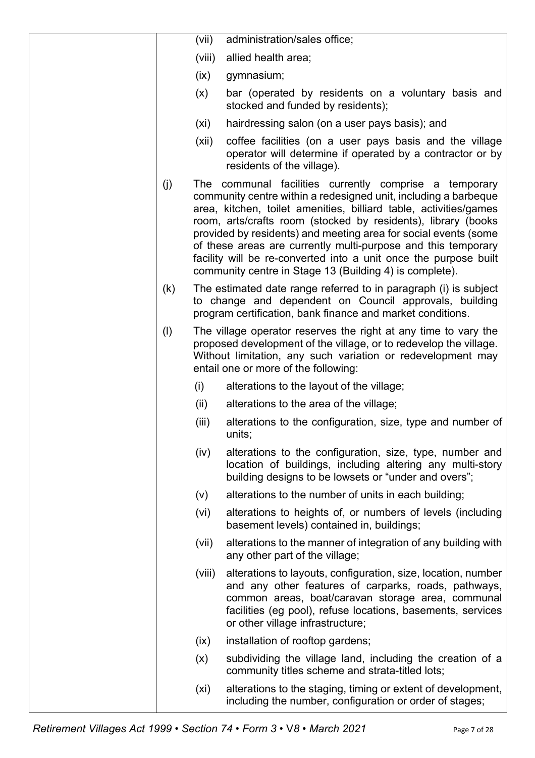|     | (vii)  | administration/sales office;                                                                                                                                                                                                                                                                                                                                                                                                                                                                                                       |
|-----|--------|------------------------------------------------------------------------------------------------------------------------------------------------------------------------------------------------------------------------------------------------------------------------------------------------------------------------------------------------------------------------------------------------------------------------------------------------------------------------------------------------------------------------------------|
|     | (viii) | allied health area;                                                                                                                                                                                                                                                                                                                                                                                                                                                                                                                |
|     | (ix)   | gymnasium;                                                                                                                                                                                                                                                                                                                                                                                                                                                                                                                         |
|     | (x)    | bar (operated by residents on a voluntary basis and<br>stocked and funded by residents);                                                                                                                                                                                                                                                                                                                                                                                                                                           |
|     | (xi)   | hairdressing salon (on a user pays basis); and                                                                                                                                                                                                                                                                                                                                                                                                                                                                                     |
|     | (xii)  | coffee facilities (on a user pays basis and the village<br>operator will determine if operated by a contractor or by<br>residents of the village).                                                                                                                                                                                                                                                                                                                                                                                 |
| (j) |        | The communal facilities currently comprise a temporary<br>community centre within a redesigned unit, including a barbeque<br>area, kitchen, toilet amenities, billiard table, activities/games<br>room, arts/crafts room (stocked by residents), library (books<br>provided by residents) and meeting area for social events (some<br>of these areas are currently multi-purpose and this temporary<br>facility will be re-converted into a unit once the purpose built<br>community centre in Stage 13 (Building 4) is complete). |
| (k) |        | The estimated date range referred to in paragraph (i) is subject<br>to change and dependent on Council approvals, building<br>program certification, bank finance and market conditions.                                                                                                                                                                                                                                                                                                                                           |
| (1) |        | The village operator reserves the right at any time to vary the<br>proposed development of the village, or to redevelop the village.<br>Without limitation, any such variation or redevelopment may<br>entail one or more of the following:                                                                                                                                                                                                                                                                                        |
|     | (i)    | alterations to the layout of the village;                                                                                                                                                                                                                                                                                                                                                                                                                                                                                          |
|     | (ii)   | alterations to the area of the village;                                                                                                                                                                                                                                                                                                                                                                                                                                                                                            |
|     | (iii)  | alterations to the configuration, size, type and number of<br>units;                                                                                                                                                                                                                                                                                                                                                                                                                                                               |
|     | (iv)   | alterations to the configuration, size, type, number and<br>location of buildings, including altering any multi-story<br>building designs to be lowsets or "under and overs";                                                                                                                                                                                                                                                                                                                                                      |
|     | (v)    | alterations to the number of units in each building;                                                                                                                                                                                                                                                                                                                                                                                                                                                                               |
|     | (vi)   | alterations to heights of, or numbers of levels (including<br>basement levels) contained in, buildings;                                                                                                                                                                                                                                                                                                                                                                                                                            |
|     | (vii)  | alterations to the manner of integration of any building with<br>any other part of the village;                                                                                                                                                                                                                                                                                                                                                                                                                                    |
|     | (viii) | alterations to layouts, configuration, size, location, number<br>and any other features of carparks, roads, pathways,<br>common areas, boat/caravan storage area, communal<br>facilities (eg pool), refuse locations, basements, services<br>or other village infrastructure;                                                                                                                                                                                                                                                      |
|     | (ix)   | installation of rooftop gardens;                                                                                                                                                                                                                                                                                                                                                                                                                                                                                                   |
|     | (x)    | subdividing the village land, including the creation of a<br>community titles scheme and strata-titled lots;                                                                                                                                                                                                                                                                                                                                                                                                                       |
|     | (xi)   | alterations to the staging, timing or extent of development,<br>including the number, configuration or order of stages;                                                                                                                                                                                                                                                                                                                                                                                                            |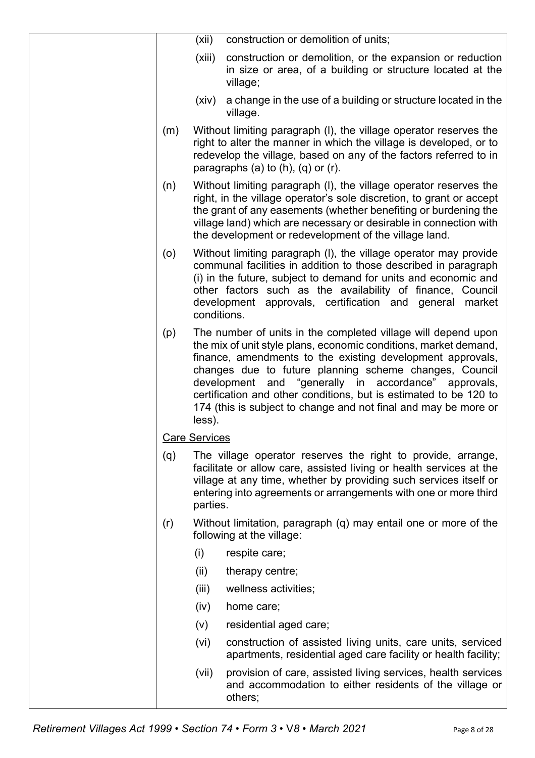|     | (xii)                | construction or demolition of units;                                                                                                                                                                                                                                                                                                                                                                                                                      |
|-----|----------------------|-----------------------------------------------------------------------------------------------------------------------------------------------------------------------------------------------------------------------------------------------------------------------------------------------------------------------------------------------------------------------------------------------------------------------------------------------------------|
|     | (xiii)               | construction or demolition, or the expansion or reduction<br>in size or area, of a building or structure located at the<br>village;                                                                                                                                                                                                                                                                                                                       |
|     | (xiv)                | a change in the use of a building or structure located in the<br>village.                                                                                                                                                                                                                                                                                                                                                                                 |
| (m) |                      | Without limiting paragraph (I), the village operator reserves the<br>right to alter the manner in which the village is developed, or to<br>redevelop the village, based on any of the factors referred to in<br>paragraphs (a) to $(h)$ , $(q)$ or $(r)$ .                                                                                                                                                                                                |
| (n) |                      | Without limiting paragraph (I), the village operator reserves the<br>right, in the village operator's sole discretion, to grant or accept<br>the grant of any easements (whether benefiting or burdening the<br>village land) which are necessary or desirable in connection with<br>the development or redevelopment of the village land.                                                                                                                |
| (0) | conditions.          | Without limiting paragraph (I), the village operator may provide<br>communal facilities in addition to those described in paragraph<br>(i) in the future, subject to demand for units and economic and<br>other factors such as the availability of finance, Council<br>development approvals, certification and general<br>market                                                                                                                        |
| (p) | less).               | The number of units in the completed village will depend upon<br>the mix of unit style plans, economic conditions, market demand,<br>finance, amendments to the existing development approvals,<br>changes due to future planning scheme changes, Council<br>development and "generally in accordance" approvals,<br>certification and other conditions, but is estimated to be 120 to<br>174 (this is subject to change and not final and may be more or |
|     | <b>Care Services</b> |                                                                                                                                                                                                                                                                                                                                                                                                                                                           |
| (q) | parties.             | The village operator reserves the right to provide, arrange,<br>facilitate or allow care, assisted living or health services at the<br>village at any time, whether by providing such services itself or<br>entering into agreements or arrangements with one or more third                                                                                                                                                                               |
| (r) |                      | Without limitation, paragraph (q) may entail one or more of the<br>following at the village:                                                                                                                                                                                                                                                                                                                                                              |
|     | (i)                  | respite care;                                                                                                                                                                                                                                                                                                                                                                                                                                             |
|     | (ii)                 | therapy centre;                                                                                                                                                                                                                                                                                                                                                                                                                                           |
|     | (iii)                | wellness activities;                                                                                                                                                                                                                                                                                                                                                                                                                                      |
|     | (iv)                 | home care;                                                                                                                                                                                                                                                                                                                                                                                                                                                |
|     | (V)                  | residential aged care;                                                                                                                                                                                                                                                                                                                                                                                                                                    |
|     | (vi)                 | construction of assisted living units, care units, serviced<br>apartments, residential aged care facility or health facility;                                                                                                                                                                                                                                                                                                                             |
|     | (vii)                | provision of care, assisted living services, health services<br>and accommodation to either residents of the village or<br>others;                                                                                                                                                                                                                                                                                                                        |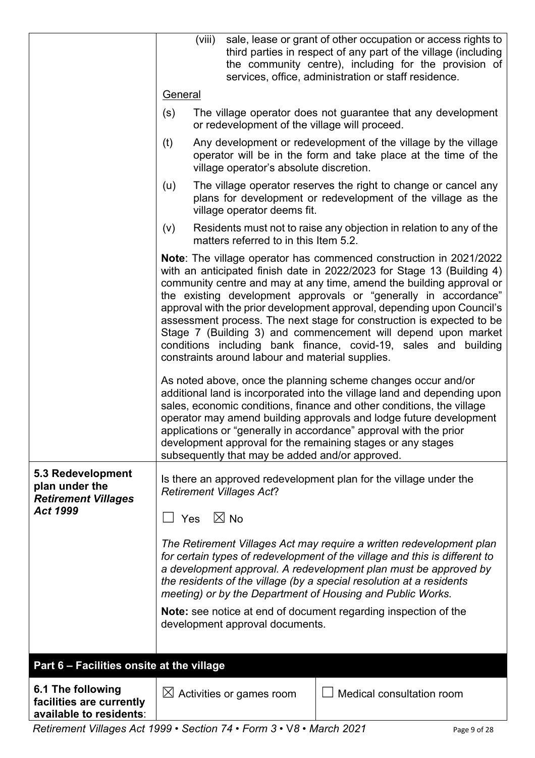|                                                                               | (viii)  |                                                  | sale, lease or grant of other occupation or access rights to<br>third parties in respect of any part of the village (including<br>the community centre), including for the provision of<br>services, office, administration or staff residence.                                                                                                                                                                                                                                                                                                                                       |
|-------------------------------------------------------------------------------|---------|--------------------------------------------------|---------------------------------------------------------------------------------------------------------------------------------------------------------------------------------------------------------------------------------------------------------------------------------------------------------------------------------------------------------------------------------------------------------------------------------------------------------------------------------------------------------------------------------------------------------------------------------------|
|                                                                               | General |                                                  |                                                                                                                                                                                                                                                                                                                                                                                                                                                                                                                                                                                       |
|                                                                               | (s)     | or redevelopment of the village will proceed.    | The village operator does not guarantee that any development                                                                                                                                                                                                                                                                                                                                                                                                                                                                                                                          |
|                                                                               | (t)     | village operator's absolute discretion.          | Any development or redevelopment of the village by the village<br>operator will be in the form and take place at the time of the                                                                                                                                                                                                                                                                                                                                                                                                                                                      |
|                                                                               | (u)     | village operator deems fit.                      | The village operator reserves the right to change or cancel any<br>plans for development or redevelopment of the village as the                                                                                                                                                                                                                                                                                                                                                                                                                                                       |
|                                                                               | (v)     | matters referred to in this Item 5.2.            | Residents must not to raise any objection in relation to any of the                                                                                                                                                                                                                                                                                                                                                                                                                                                                                                                   |
|                                                                               |         | constraints around labour and material supplies. | <b>Note:</b> The village operator has commenced construction in 2021/2022<br>with an anticipated finish date in 2022/2023 for Stage 13 (Building 4)<br>community centre and may at any time, amend the building approval or<br>the existing development approvals or "generally in accordance"<br>approval with the prior development approval, depending upon Council's<br>assessment process. The next stage for construction is expected to be<br>Stage 7 (Building 3) and commencement will depend upon market<br>conditions including bank finance, covid-19, sales and building |
|                                                                               |         | subsequently that may be added and/or approved.  | As noted above, once the planning scheme changes occur and/or<br>additional land is incorporated into the village land and depending upon<br>sales, economic conditions, finance and other conditions, the village<br>operator may amend building approvals and lodge future development<br>applications or "generally in accordance" approval with the prior<br>development approval for the remaining stages or any stages                                                                                                                                                          |
| 5.3 Redevelopment<br>plan under the<br><b>Retirement Villages</b><br>Act 1999 |         | <b>Retirement Villages Act?</b>                  | Is there an approved redevelopment plan for the village under the                                                                                                                                                                                                                                                                                                                                                                                                                                                                                                                     |
|                                                                               | Yes     | $\boxtimes$ No                                   | The Retirement Villages Act may require a written redevelopment plan<br>for certain types of redevelopment of the village and this is different to<br>a development approval. A redevelopment plan must be approved by<br>the residents of the village (by a special resolution at a residents<br>meeting) or by the Department of Housing and Public Works.                                                                                                                                                                                                                          |
|                                                                               |         | development approval documents.                  | Note: see notice at end of document regarding inspection of the                                                                                                                                                                                                                                                                                                                                                                                                                                                                                                                       |
| Part 6 - Facilities onsite at the village                                     |         |                                                  |                                                                                                                                                                                                                                                                                                                                                                                                                                                                                                                                                                                       |
| 6.1 The following<br>facilities are currently<br>available to residents:      |         | $\boxtimes$ Activities or games room             | Medical consultation room                                                                                                                                                                                                                                                                                                                                                                                                                                                                                                                                                             |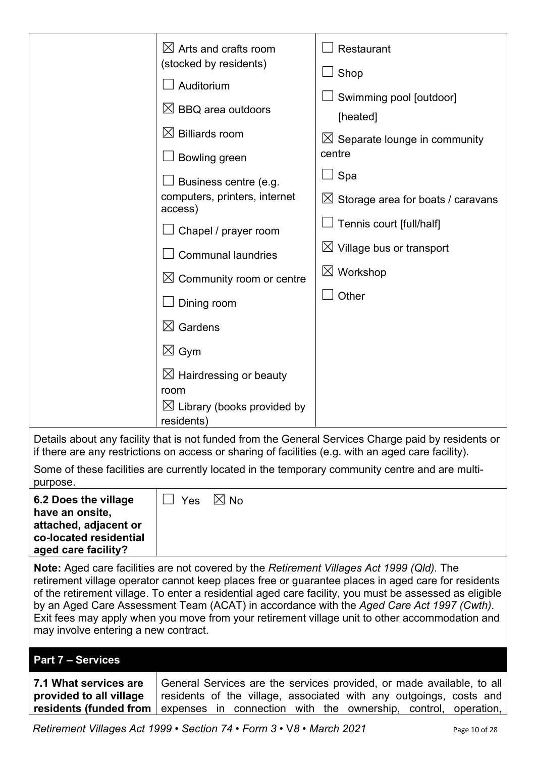|                                                                                                                               | $\boxtimes$ Arts and crafts room<br>(stocked by residents)<br>Auditorium<br>$\boxtimes$ BBQ area outdoors<br>$\boxtimes$ Billiards room<br>Bowling green<br>Business centre (e.g.<br>computers, printers, internet<br>access)<br>Chapel / prayer room<br><b>Communal laundries</b><br>$\boxtimes$ Community room or centre<br>Dining room<br>$\boxtimes$ Gardens<br>$\boxtimes$ Gym<br>$\boxtimes$ Hairdressing or beauty<br>room<br>$\boxtimes$ Library (books provided by<br>residents) | Restaurant<br>$\Box$ Shop<br>Swimming pool [outdoor]<br>[heated]<br>$\boxtimes$ Separate lounge in community<br>centre<br>Spa ⊑<br>$\boxtimes$ Storage area for boats / caravans<br>Tennis court [full/half]<br>$\boxtimes$ Village bus or transport<br>$\boxtimes$ Workshop<br>Other                                                                                                                      |
|-------------------------------------------------------------------------------------------------------------------------------|-------------------------------------------------------------------------------------------------------------------------------------------------------------------------------------------------------------------------------------------------------------------------------------------------------------------------------------------------------------------------------------------------------------------------------------------------------------------------------------------|------------------------------------------------------------------------------------------------------------------------------------------------------------------------------------------------------------------------------------------------------------------------------------------------------------------------------------------------------------------------------------------------------------|
|                                                                                                                               | if there are any restrictions on access or sharing of facilities (e.g. with an aged care facility).                                                                                                                                                                                                                                                                                                                                                                                       | Details about any facility that is not funded from the General Services Charge paid by residents or<br>Some of these facilities are currently located in the temporary community centre and are multi-                                                                                                                                                                                                     |
| purpose.<br>6.2 Does the village<br>have an onsite,<br>attached, adjacent or<br>co-located residential<br>aged care facility? | $\boxtimes$ No<br>Yes                                                                                                                                                                                                                                                                                                                                                                                                                                                                     |                                                                                                                                                                                                                                                                                                                                                                                                            |
| may involve entering a new contract.                                                                                          | Note: Aged care facilities are not covered by the Retirement Villages Act 1999 (Qld). The                                                                                                                                                                                                                                                                                                                                                                                                 | retirement village operator cannot keep places free or guarantee places in aged care for residents<br>of the retirement village. To enter a residential aged care facility, you must be assessed as eligible<br>by an Aged Care Assessment Team (ACAT) in accordance with the Aged Care Act 1997 (Cwth).<br>Exit fees may apply when you move from your retirement village unit to other accommodation and |
| <b>Part 7 - Services</b><br>7.1 What services are<br>provided to all village<br>residents (funded from                        |                                                                                                                                                                                                                                                                                                                                                                                                                                                                                           | General Services are the services provided, or made available, to all<br>residents of the village, associated with any outgoings, costs and<br>expenses in connection with the ownership, control, operation,                                                                                                                                                                                              |

*Retirement Villages Act 1999* • *Section 74* • *Form 3* • V*8 • March 2021* Page 10 of 28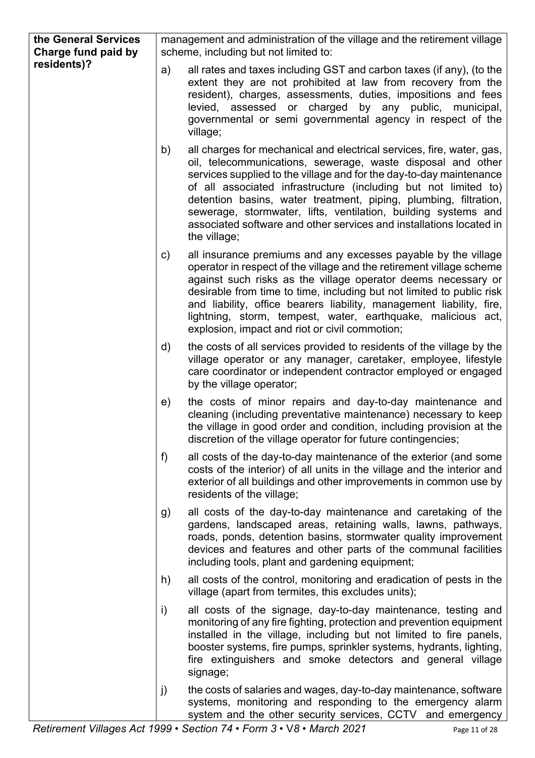| the General Services<br>Charge fund paid by |               | management and administration of the village and the retirement village<br>scheme, including but not limited to:                                                                                                                                                                                                                                                                                                                                                                                            |
|---------------------------------------------|---------------|-------------------------------------------------------------------------------------------------------------------------------------------------------------------------------------------------------------------------------------------------------------------------------------------------------------------------------------------------------------------------------------------------------------------------------------------------------------------------------------------------------------|
| residents)?                                 | a)            | all rates and taxes including GST and carbon taxes (if any), (to the<br>extent they are not prohibited at law from recovery from the<br>resident), charges, assessments, duties, impositions and fees<br>levied, assessed or charged by any public, municipal,<br>governmental or semi governmental agency in respect of the<br>village;                                                                                                                                                                    |
|                                             | b)            | all charges for mechanical and electrical services, fire, water, gas,<br>oil, telecommunications, sewerage, waste disposal and other<br>services supplied to the village and for the day-to-day maintenance<br>of all associated infrastructure (including but not limited to)<br>detention basins, water treatment, piping, plumbing, filtration,<br>sewerage, stormwater, lifts, ventilation, building systems and<br>associated software and other services and installations located in<br>the village; |
|                                             | $\mathsf{c})$ | all insurance premiums and any excesses payable by the village<br>operator in respect of the village and the retirement village scheme<br>against such risks as the village operator deems necessary or<br>desirable from time to time, including but not limited to public risk<br>and liability, office bearers liability, management liability, fire,<br>lightning, storm, tempest, water, earthquake, malicious act,<br>explosion, impact and riot or civil commotion;                                  |
|                                             | $\mathsf{d}$  | the costs of all services provided to residents of the village by the<br>village operator or any manager, caretaker, employee, lifestyle<br>care coordinator or independent contractor employed or engaged<br>by the village operator;                                                                                                                                                                                                                                                                      |
|                                             | e)            | the costs of minor repairs and day-to-day maintenance and<br>cleaning (including preventative maintenance) necessary to keep<br>the village in good order and condition, including provision at the<br>discretion of the village operator for future contingencies;                                                                                                                                                                                                                                         |
|                                             | f)            | all costs of the day-to-day maintenance of the exterior (and some<br>costs of the interior) of all units in the village and the interior and<br>exterior of all buildings and other improvements in common use by<br>residents of the village;                                                                                                                                                                                                                                                              |
|                                             | g)            | all costs of the day-to-day maintenance and caretaking of the<br>gardens, landscaped areas, retaining walls, lawns, pathways,<br>roads, ponds, detention basins, stormwater quality improvement<br>devices and features and other parts of the communal facilities<br>including tools, plant and gardening equipment;                                                                                                                                                                                       |
|                                             | h)            | all costs of the control, monitoring and eradication of pests in the<br>village (apart from termites, this excludes units);                                                                                                                                                                                                                                                                                                                                                                                 |
|                                             | i)            | all costs of the signage, day-to-day maintenance, testing and<br>monitoring of any fire fighting, protection and prevention equipment<br>installed in the village, including but not limited to fire panels,<br>booster systems, fire pumps, sprinkler systems, hydrants, lighting,<br>fire extinguishers and smoke detectors and general village<br>signage;                                                                                                                                               |
|                                             | j)            | the costs of salaries and wages, day-to-day maintenance, software<br>systems, monitoring and responding to the emergency alarm<br>system and the other security services, CCTV and emergency                                                                                                                                                                                                                                                                                                                |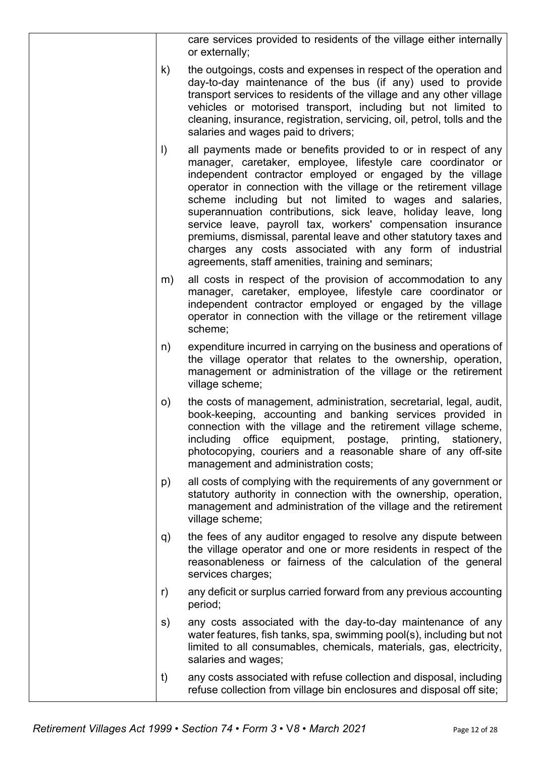|          | care services provided to residents of the village either internally<br>or externally;                                                                                                                                                                                                                                                                                                                                                                                                                                                                                                                                                             |
|----------|----------------------------------------------------------------------------------------------------------------------------------------------------------------------------------------------------------------------------------------------------------------------------------------------------------------------------------------------------------------------------------------------------------------------------------------------------------------------------------------------------------------------------------------------------------------------------------------------------------------------------------------------------|
| k)       | the outgoings, costs and expenses in respect of the operation and<br>day-to-day maintenance of the bus (if any) used to provide<br>transport services to residents of the village and any other village<br>vehicles or motorised transport, including but not limited to<br>cleaning, insurance, registration, servicing, oil, petrol, tolls and the<br>salaries and wages paid to drivers;                                                                                                                                                                                                                                                        |
| $\vert$  | all payments made or benefits provided to or in respect of any<br>manager, caretaker, employee, lifestyle care coordinator or<br>independent contractor employed or engaged by the village<br>operator in connection with the village or the retirement village<br>scheme including but not limited to wages and salaries,<br>superannuation contributions, sick leave, holiday leave, long<br>service leave, payroll tax, workers' compensation insurance<br>premiums, dismissal, parental leave and other statutory taxes and<br>charges any costs associated with any form of industrial<br>agreements, staff amenities, training and seminars; |
| m)       | all costs in respect of the provision of accommodation to any<br>manager, caretaker, employee, lifestyle care coordinator or<br>independent contractor employed or engaged by the village<br>operator in connection with the village or the retirement village<br>scheme;                                                                                                                                                                                                                                                                                                                                                                          |
| n)       | expenditure incurred in carrying on the business and operations of<br>the village operator that relates to the ownership, operation,<br>management or administration of the village or the retirement<br>village scheme;                                                                                                                                                                                                                                                                                                                                                                                                                           |
| $\circ)$ | the costs of management, administration, secretarial, legal, audit,<br>book-keeping, accounting and banking services provided in<br>connection with the village and the retirement village scheme,<br>including office equipment, postage, printing, stationery,<br>photocopying, couriers and a reasonable share of any off-site<br>management and administration costs;                                                                                                                                                                                                                                                                          |
| p)       | all costs of complying with the requirements of any government or<br>statutory authority in connection with the ownership, operation,<br>management and administration of the village and the retirement<br>village scheme;                                                                                                                                                                                                                                                                                                                                                                                                                        |
| q)       | the fees of any auditor engaged to resolve any dispute between<br>the village operator and one or more residents in respect of the<br>reasonableness or fairness of the calculation of the general<br>services charges;                                                                                                                                                                                                                                                                                                                                                                                                                            |
| r)       | any deficit or surplus carried forward from any previous accounting<br>period;                                                                                                                                                                                                                                                                                                                                                                                                                                                                                                                                                                     |
| s)       | any costs associated with the day-to-day maintenance of any<br>water features, fish tanks, spa, swimming pool(s), including but not<br>limited to all consumables, chemicals, materials, gas, electricity,<br>salaries and wages;                                                                                                                                                                                                                                                                                                                                                                                                                  |
| t)       | any costs associated with refuse collection and disposal, including<br>refuse collection from village bin enclosures and disposal off site;                                                                                                                                                                                                                                                                                                                                                                                                                                                                                                        |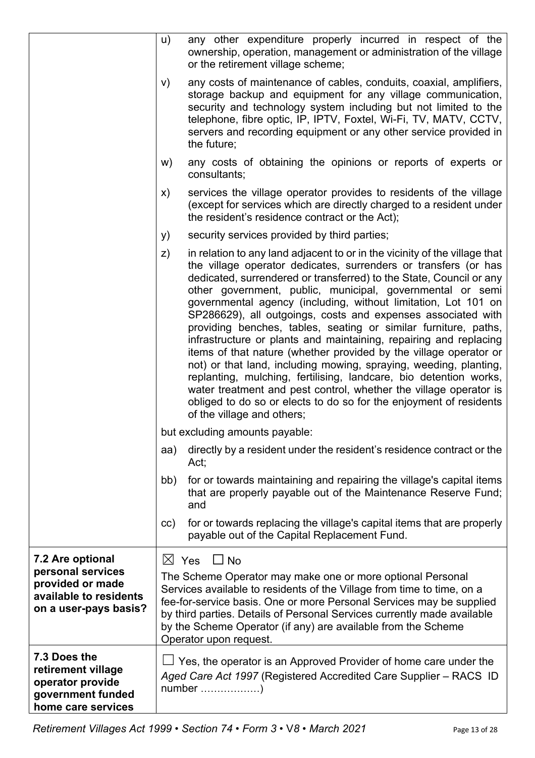|                                                                                                   | u)<br>any other expenditure properly incurred in respect of the<br>ownership, operation, management or administration of the village<br>or the retirement village scheme;                                                                                                                                                                                                                                                                                                                                                                                                                                                                                                                                                                                                                                                                                                                                                                                 |
|---------------------------------------------------------------------------------------------------|-----------------------------------------------------------------------------------------------------------------------------------------------------------------------------------------------------------------------------------------------------------------------------------------------------------------------------------------------------------------------------------------------------------------------------------------------------------------------------------------------------------------------------------------------------------------------------------------------------------------------------------------------------------------------------------------------------------------------------------------------------------------------------------------------------------------------------------------------------------------------------------------------------------------------------------------------------------|
|                                                                                                   | any costs of maintenance of cables, conduits, coaxial, amplifiers,<br>V)<br>storage backup and equipment for any village communication,<br>security and technology system including but not limited to the<br>telephone, fibre optic, IP, IPTV, Foxtel, Wi-Fi, TV, MATV, CCTV,<br>servers and recording equipment or any other service provided in<br>the future;                                                                                                                                                                                                                                                                                                                                                                                                                                                                                                                                                                                         |
|                                                                                                   | any costs of obtaining the opinions or reports of experts or<br>w)<br>consultants;                                                                                                                                                                                                                                                                                                                                                                                                                                                                                                                                                                                                                                                                                                                                                                                                                                                                        |
|                                                                                                   | services the village operator provides to residents of the village<br>X)<br>(except for services which are directly charged to a resident under<br>the resident's residence contract or the Act);                                                                                                                                                                                                                                                                                                                                                                                                                                                                                                                                                                                                                                                                                                                                                         |
|                                                                                                   | security services provided by third parties;<br>y)                                                                                                                                                                                                                                                                                                                                                                                                                                                                                                                                                                                                                                                                                                                                                                                                                                                                                                        |
|                                                                                                   | in relation to any land adjacent to or in the vicinity of the village that<br>Z)<br>the village operator dedicates, surrenders or transfers (or has<br>dedicated, surrendered or transferred) to the State, Council or any<br>other government, public, municipal, governmental or semi<br>governmental agency (including, without limitation, Lot 101 on<br>SP286629), all outgoings, costs and expenses associated with<br>providing benches, tables, seating or similar furniture, paths,<br>infrastructure or plants and maintaining, repairing and replacing<br>items of that nature (whether provided by the village operator or<br>not) or that land, including mowing, spraying, weeding, planting,<br>replanting, mulching, fertilising, landcare, bio detention works,<br>water treatment and pest control, whether the village operator is<br>obliged to do so or elects to do so for the enjoyment of residents<br>of the village and others; |
|                                                                                                   | but excluding amounts payable:                                                                                                                                                                                                                                                                                                                                                                                                                                                                                                                                                                                                                                                                                                                                                                                                                                                                                                                            |
|                                                                                                   | directly by a resident under the resident's residence contract or the<br>aa)<br>Act;                                                                                                                                                                                                                                                                                                                                                                                                                                                                                                                                                                                                                                                                                                                                                                                                                                                                      |
|                                                                                                   | for or towards maintaining and repairing the village's capital items<br>bb)<br>that are properly payable out of the Maintenance Reserve Fund;<br>and                                                                                                                                                                                                                                                                                                                                                                                                                                                                                                                                                                                                                                                                                                                                                                                                      |
|                                                                                                   | for or towards replacing the village's capital items that are properly<br>cc)<br>payable out of the Capital Replacement Fund.                                                                                                                                                                                                                                                                                                                                                                                                                                                                                                                                                                                                                                                                                                                                                                                                                             |
| 7.2 Are optional                                                                                  | $\Box$ No<br>$\boxtimes$ Yes                                                                                                                                                                                                                                                                                                                                                                                                                                                                                                                                                                                                                                                                                                                                                                                                                                                                                                                              |
| personal services<br>provided or made<br>available to residents<br>on a user-pays basis?          | The Scheme Operator may make one or more optional Personal<br>Services available to residents of the Village from time to time, on a<br>fee-for-service basis. One or more Personal Services may be supplied<br>by third parties. Details of Personal Services currently made available<br>by the Scheme Operator (if any) are available from the Scheme<br>Operator upon request.                                                                                                                                                                                                                                                                                                                                                                                                                                                                                                                                                                        |
| 7.3 Does the<br>retirement village<br>operator provide<br>government funded<br>home care services | $\Box$ Yes, the operator is an Approved Provider of home care under the<br>Aged Care Act 1997 (Registered Accredited Care Supplier - RACS ID                                                                                                                                                                                                                                                                                                                                                                                                                                                                                                                                                                                                                                                                                                                                                                                                              |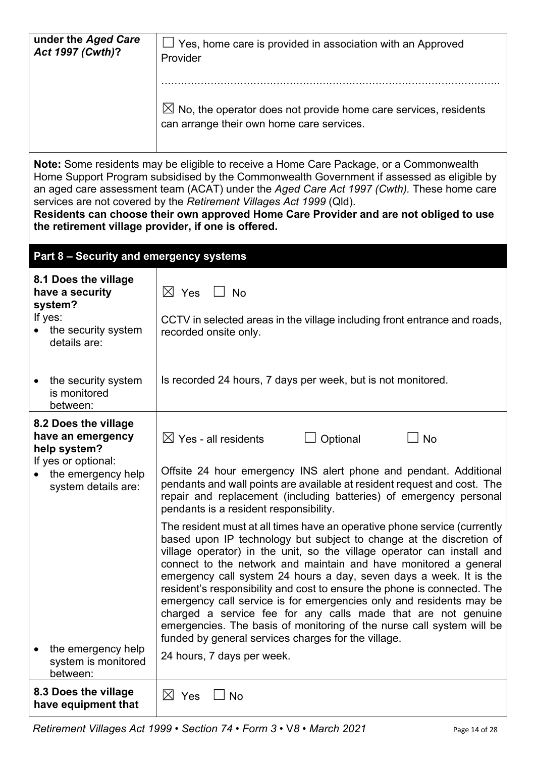| under the Aged Care<br>Act 1997 (Cwth)?                                                                                                                                                                                                                                                                                                                                                                                                                                                                | Yes, home care is provided in association with an Approved<br>Provider                                                                                                                                                                                                                                                                                                                                                                                                                                                                                                                                                                                                                                                   |  |  |
|--------------------------------------------------------------------------------------------------------------------------------------------------------------------------------------------------------------------------------------------------------------------------------------------------------------------------------------------------------------------------------------------------------------------------------------------------------------------------------------------------------|--------------------------------------------------------------------------------------------------------------------------------------------------------------------------------------------------------------------------------------------------------------------------------------------------------------------------------------------------------------------------------------------------------------------------------------------------------------------------------------------------------------------------------------------------------------------------------------------------------------------------------------------------------------------------------------------------------------------------|--|--|
|                                                                                                                                                                                                                                                                                                                                                                                                                                                                                                        | $\boxtimes$ No, the operator does not provide home care services, residents<br>can arrange their own home care services.                                                                                                                                                                                                                                                                                                                                                                                                                                                                                                                                                                                                 |  |  |
| Note: Some residents may be eligible to receive a Home Care Package, or a Commonwealth<br>Home Support Program subsidised by the Commonwealth Government if assessed as eligible by<br>an aged care assessment team (ACAT) under the Aged Care Act 1997 (Cwth). These home care<br>services are not covered by the Retirement Villages Act 1999 (Qld).<br>Residents can choose their own approved Home Care Provider and are not obliged to use<br>the retirement village provider, if one is offered. |                                                                                                                                                                                                                                                                                                                                                                                                                                                                                                                                                                                                                                                                                                                          |  |  |
| Part 8 - Security and emergency systems                                                                                                                                                                                                                                                                                                                                                                                                                                                                |                                                                                                                                                                                                                                                                                                                                                                                                                                                                                                                                                                                                                                                                                                                          |  |  |
| 8.1 Does the village<br>have a security<br>system?                                                                                                                                                                                                                                                                                                                                                                                                                                                     | $\boxtimes$ Yes<br>$\Box$ No                                                                                                                                                                                                                                                                                                                                                                                                                                                                                                                                                                                                                                                                                             |  |  |
| If yes:<br>the security system<br>details are:                                                                                                                                                                                                                                                                                                                                                                                                                                                         | CCTV in selected areas in the village including front entrance and roads,<br>recorded onsite only.                                                                                                                                                                                                                                                                                                                                                                                                                                                                                                                                                                                                                       |  |  |
| the security system<br>$\bullet$<br>is monitored<br>between:                                                                                                                                                                                                                                                                                                                                                                                                                                           | Is recorded 24 hours, 7 days per week, but is not monitored.                                                                                                                                                                                                                                                                                                                                                                                                                                                                                                                                                                                                                                                             |  |  |
| 8.2 Does the village<br>have an emergency<br>help system?                                                                                                                                                                                                                                                                                                                                                                                                                                              | $\boxtimes$ Yes - all residents<br>Optional<br>No                                                                                                                                                                                                                                                                                                                                                                                                                                                                                                                                                                                                                                                                        |  |  |
| If yes or optional:<br>the emergency help<br>system details are:                                                                                                                                                                                                                                                                                                                                                                                                                                       | Offsite 24 hour emergency INS alert phone and pendant. Additional<br>pendants and wall points are available at resident request and cost. The<br>repair and replacement (including batteries) of emergency personal<br>pendants is a resident responsibility.                                                                                                                                                                                                                                                                                                                                                                                                                                                            |  |  |
|                                                                                                                                                                                                                                                                                                                                                                                                                                                                                                        | The resident must at all times have an operative phone service (currently<br>based upon IP technology but subject to change at the discretion of<br>village operator) in the unit, so the village operator can install and<br>connect to the network and maintain and have monitored a general<br>emergency call system 24 hours a day, seven days a week. It is the<br>resident's responsibility and cost to ensure the phone is connected. The<br>emergency call service is for emergencies only and residents may be<br>charged a service fee for any calls made that are not genuine<br>emergencies. The basis of monitoring of the nurse call system will be<br>funded by general services charges for the village. |  |  |
| the emergency help<br>system is monitored<br>between:                                                                                                                                                                                                                                                                                                                                                                                                                                                  | 24 hours, 7 days per week.                                                                                                                                                                                                                                                                                                                                                                                                                                                                                                                                                                                                                                                                                               |  |  |
| 8.3 Does the village<br>have equipment that                                                                                                                                                                                                                                                                                                                                                                                                                                                            | $\boxtimes$ Yes<br><b>No</b>                                                                                                                                                                                                                                                                                                                                                                                                                                                                                                                                                                                                                                                                                             |  |  |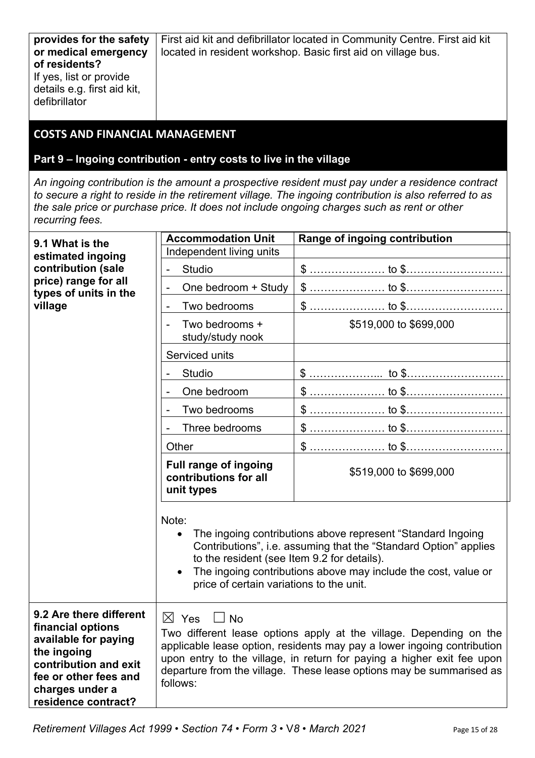| provides for the safety<br>or medical emergency                                          | First aid kit and defibrillator located in Community Centre. First aid kit<br>located in resident workshop. Basic first aid on village bus. |
|------------------------------------------------------------------------------------------|---------------------------------------------------------------------------------------------------------------------------------------------|
| of residents?<br>If yes, list or provide<br>details e.g. first aid kit,<br>defibrillator |                                                                                                                                             |

#### **COSTS AND FINANCIAL MANAGEMENT**

#### **Part 9 – Ingoing contribution - entry costs to live in the village**

*An ingoing contribution is the amount a prospective resident must pay under a residence contract to secure a right to reside in the retirement village. The ingoing contribution is also referred to as the sale price or purchase price. It does not include ongoing charges such as rent or other recurring fees.*

| 9.1 What is the                                                                                                                                                                 | <b>Accommodation Unit</b>                                                                                                                                                                                                                                                                                                                   | Range of ingoing contribution |  |
|---------------------------------------------------------------------------------------------------------------------------------------------------------------------------------|---------------------------------------------------------------------------------------------------------------------------------------------------------------------------------------------------------------------------------------------------------------------------------------------------------------------------------------------|-------------------------------|--|
| estimated ingoing<br>contribution (sale                                                                                                                                         | Independent living units                                                                                                                                                                                                                                                                                                                    |                               |  |
|                                                                                                                                                                                 | <b>Studio</b>                                                                                                                                                                                                                                                                                                                               |                               |  |
| price) range for all<br>types of units in the                                                                                                                                   | One bedroom + Study                                                                                                                                                                                                                                                                                                                         |                               |  |
| village                                                                                                                                                                         | Two bedrooms                                                                                                                                                                                                                                                                                                                                |                               |  |
|                                                                                                                                                                                 | Two bedrooms +<br>study/study nook                                                                                                                                                                                                                                                                                                          | \$519,000 to \$699,000        |  |
|                                                                                                                                                                                 | Serviced units                                                                                                                                                                                                                                                                                                                              |                               |  |
|                                                                                                                                                                                 | <b>Studio</b>                                                                                                                                                                                                                                                                                                                               |                               |  |
|                                                                                                                                                                                 | One bedroom                                                                                                                                                                                                                                                                                                                                 |                               |  |
|                                                                                                                                                                                 | Two bedrooms                                                                                                                                                                                                                                                                                                                                |                               |  |
|                                                                                                                                                                                 | Three bedrooms                                                                                                                                                                                                                                                                                                                              |                               |  |
|                                                                                                                                                                                 | Other                                                                                                                                                                                                                                                                                                                                       |                               |  |
|                                                                                                                                                                                 | <b>Full range of ingoing</b><br>contributions for all<br>unit types                                                                                                                                                                                                                                                                         | \$519,000 to \$699,000        |  |
|                                                                                                                                                                                 | Note:<br>The ingoing contributions above represent "Standard Ingoing<br>$\bullet$<br>Contributions", i.e. assuming that the "Standard Option" applies<br>to the resident (see Item 9.2 for details).<br>The ingoing contributions above may include the cost, value or<br>price of certain variations to the unit.                          |                               |  |
| 9.2 Are there different<br>financial options<br>available for paying<br>the ingoing<br>contribution and exit<br>fee or other fees and<br>charges under a<br>residence contract? | $\boxtimes$ Yes<br><b>No</b><br>Two different lease options apply at the village. Depending on the<br>applicable lease option, residents may pay a lower ingoing contribution<br>upon entry to the village, in return for paying a higher exit fee upon<br>departure from the village. These lease options may be summarised as<br>follows: |                               |  |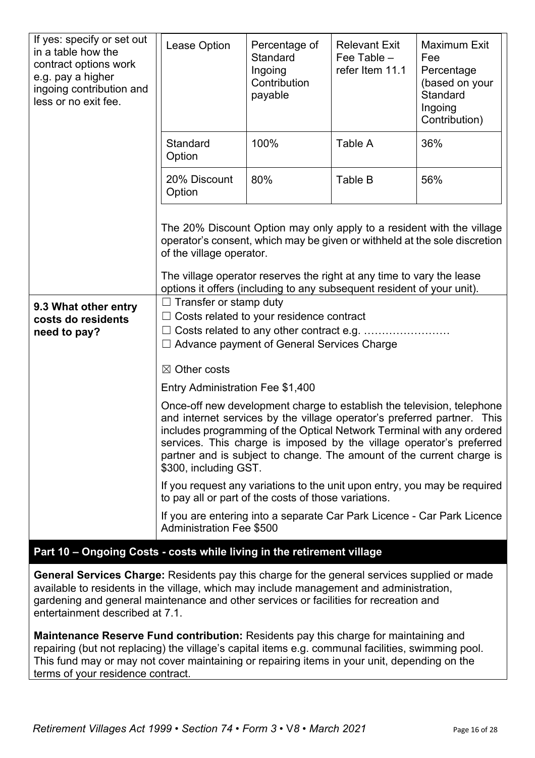| If yes: specify or set out<br>in a table how the<br>contract options work<br>e.g. pay a higher<br>ingoing contribution and<br>less or no exit fee. | Lease Option                                                                                                                                                                                                                                                                                                                                                                                         | Percentage of<br>Standard<br>Ingoing<br>Contribution<br>payable | <b>Relevant Exit</b><br>Fee Table $-$<br>refer Item 11.1              | <b>Maximum Exit</b><br>Fee<br>Percentage<br>(based on your<br>Standard<br>Ingoing<br>Contribution)                                                 |  |
|----------------------------------------------------------------------------------------------------------------------------------------------------|------------------------------------------------------------------------------------------------------------------------------------------------------------------------------------------------------------------------------------------------------------------------------------------------------------------------------------------------------------------------------------------------------|-----------------------------------------------------------------|-----------------------------------------------------------------------|----------------------------------------------------------------------------------------------------------------------------------------------------|--|
|                                                                                                                                                    | Standard<br>Option                                                                                                                                                                                                                                                                                                                                                                                   | 100%                                                            | Table A                                                               | 36%                                                                                                                                                |  |
|                                                                                                                                                    | 20% Discount<br>Option                                                                                                                                                                                                                                                                                                                                                                               | 80%                                                             | Table B                                                               | 56%                                                                                                                                                |  |
|                                                                                                                                                    | of the village operator.                                                                                                                                                                                                                                                                                                                                                                             |                                                                 | The village operator reserves the right at any time to vary the lease | The 20% Discount Option may only apply to a resident with the village<br>operator's consent, which may be given or withheld at the sole discretion |  |
| 9.3 What other entry<br>costs do residents<br>need to pay?                                                                                         | options it offers (including to any subsequent resident of your unit).<br>$\Box$ Transfer or stamp duty<br>Costs related to your residence contract<br>$\Box$ Advance payment of General Services Charge<br>$\boxtimes$ Other costs                                                                                                                                                                  |                                                                 |                                                                       |                                                                                                                                                    |  |
|                                                                                                                                                    |                                                                                                                                                                                                                                                                                                                                                                                                      | Entry Administration Fee \$1,400                                |                                                                       |                                                                                                                                                    |  |
|                                                                                                                                                    | Once-off new development charge to establish the television, telephone<br>and internet services by the village operator's preferred partner. This<br>includes programming of the Optical Network Terminal with any ordered<br>services. This charge is imposed by the village operator's preferred<br>partner and is subject to change. The amount of the current charge is<br>\$300, including GST. |                                                                 |                                                                       |                                                                                                                                                    |  |
|                                                                                                                                                    | If you request any variations to the unit upon entry, you may be required<br>to pay all or part of the costs of those variations.                                                                                                                                                                                                                                                                    |                                                                 |                                                                       |                                                                                                                                                    |  |
|                                                                                                                                                    | <b>Administration Fee \$500</b>                                                                                                                                                                                                                                                                                                                                                                      |                                                                 |                                                                       | If you are entering into a separate Car Park Licence - Car Park Licence                                                                            |  |

### **Part 10 – Ongoing Costs - costs while living in the retirement village**

**General Services Charge:** Residents pay this charge for the general services supplied or made available to residents in the village, which may include management and administration, gardening and general maintenance and other services or facilities for recreation and entertainment described at 7.1.

**Maintenance Reserve Fund contribution:** Residents pay this charge for maintaining and repairing (but not replacing) the village's capital items e.g. communal facilities, swimming pool. This fund may or may not cover maintaining or repairing items in your unit, depending on the terms of your residence contract.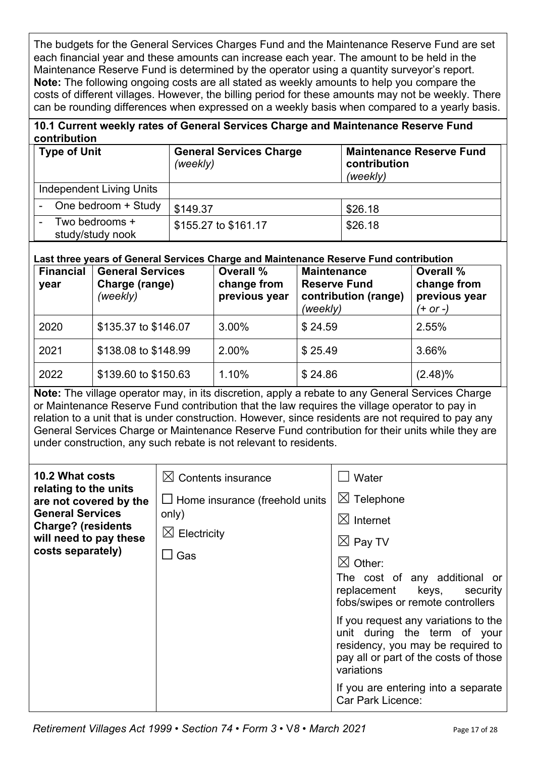The budgets for the General Services Charges Fund and the Maintenance Reserve Fund are set each financial year and these amounts can increase each year. The amount to be held in the Maintenance Reserve Fund is determined by the operator using a quantity surveyor's report. **Note:** The following ongoing costs are all stated as weekly amounts to help you compare the costs of different villages. However, the billing period for these amounts may not be weekly. There can be rounding differences when expressed on a weekly basis when compared to a yearly basis.

#### **10.1 Current weekly rates of General Services Charge and Maintenance Reserve Fund contribution**

| <b>Type of Unit</b>                     | <b>General Services Charge</b><br>(weekly) | <b>Maintenance Reserve Fund</b><br>contribution<br>(weekly) |
|-----------------------------------------|--------------------------------------------|-------------------------------------------------------------|
| Independent Living Units                |                                            |                                                             |
| One bedroom + Study                     | \$149.37                                   | \$26.18                                                     |
| Two bedrooms +<br>۰<br>study/study nook | \$155.27 to \$161.17                       | \$26.18                                                     |

#### **Last three years of General Services Charge and Maintenance Reserve Fund contribution**

| <b>Financial</b><br>year | <b>General Services</b><br>Charge (range)<br>(weekly) | <b>Overall %</b><br>change from<br>previous year | <b>Maintenance</b><br><b>Reserve Fund</b><br>contribution (range)<br>(weekly) | <b>Overall %</b><br>change from<br>previous year<br>(+ or -) |
|--------------------------|-------------------------------------------------------|--------------------------------------------------|-------------------------------------------------------------------------------|--------------------------------------------------------------|
| 2020                     | \$135.37 to \$146.07                                  | 3.00%                                            | \$24.59                                                                       | 2.55%                                                        |
| 2021                     | \$138.08 to \$148.99                                  | 2.00%                                            | \$25.49                                                                       | 3.66%                                                        |
| 2022                     | \$139.60 to \$150.63                                  | 1.10%                                            | \$24.86                                                                       | $(2.48)\%$                                                   |

**Note:** The village operator may, in its discretion, apply a rebate to any General Services Charge or Maintenance Reserve Fund contribution that the law requires the village operator to pay in relation to a unit that is under construction. However, since residents are not required to pay any General Services Charge or Maintenance Reserve Fund contribution for their units while they are under construction, any such rebate is not relevant to residents.

| 10.2 What costs<br>relating to the units<br>are not covered by the<br><b>General Services</b><br><b>Charge? (residents</b><br>will need to pay these<br>costs separately) | $\boxtimes$ Contents insurance<br>$\Box$ Home insurance (freehold units<br>only)<br>$\boxtimes$ Electricity<br>$\sqcup$ Gas | Water<br>$\boxtimes$ Telephone<br>$\boxtimes$ Internet<br>$\boxtimes$ Pay TV<br>$\bowtie$ Other:<br>The cost of any additional or<br>replacement keys, security<br>fobs/swipes or remote controllers<br>If you request any variations to the |
|---------------------------------------------------------------------------------------------------------------------------------------------------------------------------|-----------------------------------------------------------------------------------------------------------------------------|----------------------------------------------------------------------------------------------------------------------------------------------------------------------------------------------------------------------------------------------|
|                                                                                                                                                                           |                                                                                                                             | unit during the term of your<br>residency, you may be required to<br>pay all or part of the costs of those<br>variations                                                                                                                     |
|                                                                                                                                                                           |                                                                                                                             | If you are entering into a separate<br><b>Car Park Licence:</b>                                                                                                                                                                              |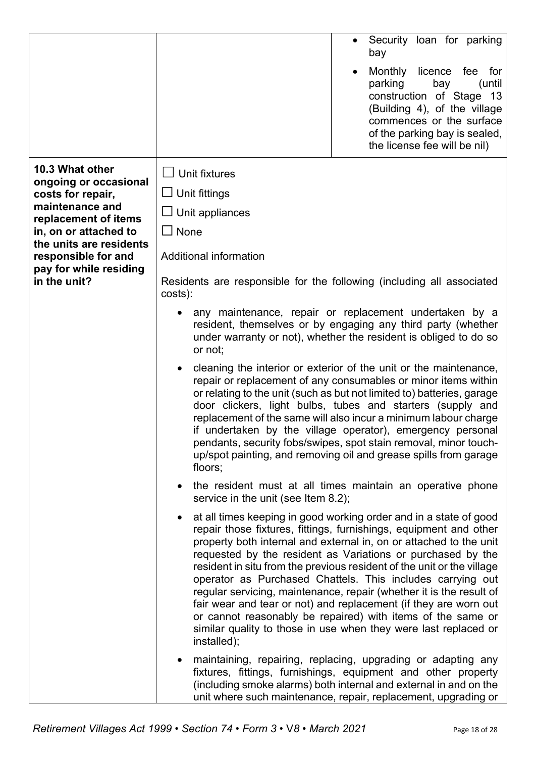|                                                  | Security loan for parking<br>bay                                                                                                                                                                                                                                                                                                                                                                                                                                                                                                                                                                                                                                                                                |  |  |
|--------------------------------------------------|-----------------------------------------------------------------------------------------------------------------------------------------------------------------------------------------------------------------------------------------------------------------------------------------------------------------------------------------------------------------------------------------------------------------------------------------------------------------------------------------------------------------------------------------------------------------------------------------------------------------------------------------------------------------------------------------------------------------|--|--|
|                                                  | Monthly licence fee for<br>parking<br>bay<br>(until<br>construction of Stage 13<br>(Building 4), of the village<br>commences or the surface<br>of the parking bay is sealed,<br>the license fee will be nil)                                                                                                                                                                                                                                                                                                                                                                                                                                                                                                    |  |  |
| 10.3 What other                                  | $\Box$ Unit fixtures                                                                                                                                                                                                                                                                                                                                                                                                                                                                                                                                                                                                                                                                                            |  |  |
| ongoing or occasional<br>costs for repair,       | $\Box$ Unit fittings                                                                                                                                                                                                                                                                                                                                                                                                                                                                                                                                                                                                                                                                                            |  |  |
| maintenance and<br>replacement of items          | $\Box$ Unit appliances                                                                                                                                                                                                                                                                                                                                                                                                                                                                                                                                                                                                                                                                                          |  |  |
| in, on or attached to<br>the units are residents | $\Box$ None                                                                                                                                                                                                                                                                                                                                                                                                                                                                                                                                                                                                                                                                                                     |  |  |
| responsible for and                              | Additional information                                                                                                                                                                                                                                                                                                                                                                                                                                                                                                                                                                                                                                                                                          |  |  |
| pay for while residing<br>in the unit?           | Residents are responsible for the following (including all associated<br>costs):                                                                                                                                                                                                                                                                                                                                                                                                                                                                                                                                                                                                                                |  |  |
|                                                  | any maintenance, repair or replacement undertaken by a<br>resident, themselves or by engaging any third party (whether<br>under warranty or not), whether the resident is obliged to do so<br>or not;                                                                                                                                                                                                                                                                                                                                                                                                                                                                                                           |  |  |
|                                                  | cleaning the interior or exterior of the unit or the maintenance,<br>repair or replacement of any consumables or minor items within<br>or relating to the unit (such as but not limited to) batteries, garage<br>door clickers, light bulbs, tubes and starters (supply and<br>replacement of the same will also incur a minimum labour charge<br>if undertaken by the village operator), emergency personal<br>pendants, security fobs/swipes, spot stain removal, minor touch-<br>up/spot painting, and removing oil and grease spills from garage<br>floors;                                                                                                                                                 |  |  |
|                                                  | the resident must at all times maintain an operative phone<br>$\bullet$<br>service in the unit (see Item 8.2);                                                                                                                                                                                                                                                                                                                                                                                                                                                                                                                                                                                                  |  |  |
|                                                  | at all times keeping in good working order and in a state of good<br>repair those fixtures, fittings, furnishings, equipment and other<br>property both internal and external in, on or attached to the unit<br>requested by the resident as Variations or purchased by the<br>resident in situ from the previous resident of the unit or the village<br>operator as Purchased Chattels. This includes carrying out<br>regular servicing, maintenance, repair (whether it is the result of<br>fair wear and tear or not) and replacement (if they are worn out<br>or cannot reasonably be repaired) with items of the same or<br>similar quality to those in use when they were last replaced or<br>installed); |  |  |
|                                                  | maintaining, repairing, replacing, upgrading or adapting any<br>fixtures, fittings, furnishings, equipment and other property<br>(including smoke alarms) both internal and external in and on the<br>unit where such maintenance, repair, replacement, upgrading or                                                                                                                                                                                                                                                                                                                                                                                                                                            |  |  |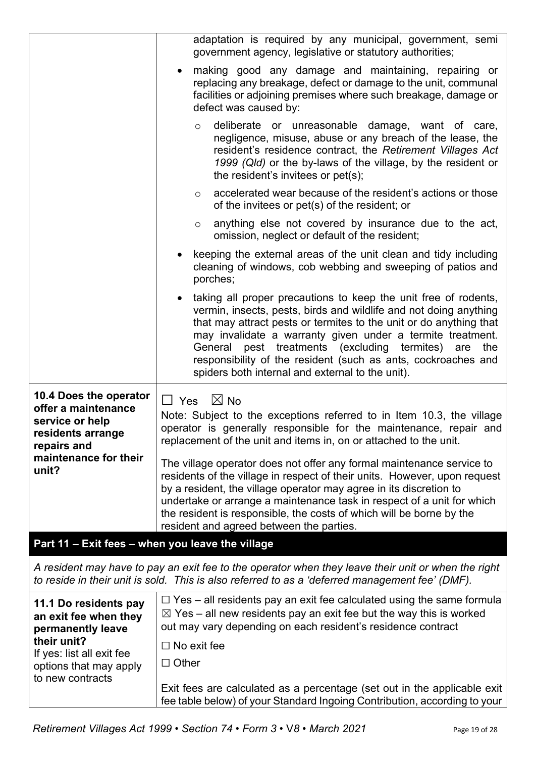|                                                                                                      | adaptation is required by any municipal, government, semi<br>government agency, legislative or statutory authorities;                                                                                                                                                                                                                                                                                                                                                    |  |  |
|------------------------------------------------------------------------------------------------------|--------------------------------------------------------------------------------------------------------------------------------------------------------------------------------------------------------------------------------------------------------------------------------------------------------------------------------------------------------------------------------------------------------------------------------------------------------------------------|--|--|
|                                                                                                      | making good any damage and maintaining, repairing or<br>$\bullet$<br>replacing any breakage, defect or damage to the unit, communal<br>facilities or adjoining premises where such breakage, damage or<br>defect was caused by:                                                                                                                                                                                                                                          |  |  |
|                                                                                                      | deliberate or unreasonable damage, want of care,<br>$\circ$<br>negligence, misuse, abuse or any breach of the lease, the<br>resident's residence contract, the Retirement Villages Act<br>1999 (Qld) or the by-laws of the village, by the resident or<br>the resident's invitees or pet(s);                                                                                                                                                                             |  |  |
|                                                                                                      | accelerated wear because of the resident's actions or those<br>$\circ$<br>of the invitees or pet(s) of the resident; or                                                                                                                                                                                                                                                                                                                                                  |  |  |
|                                                                                                      | anything else not covered by insurance due to the act,<br>$\circ$<br>omission, neglect or default of the resident;                                                                                                                                                                                                                                                                                                                                                       |  |  |
|                                                                                                      | keeping the external areas of the unit clean and tidy including<br>$\bullet$<br>cleaning of windows, cob webbing and sweeping of patios and<br>porches;                                                                                                                                                                                                                                                                                                                  |  |  |
|                                                                                                      | taking all proper precautions to keep the unit free of rodents,<br>$\bullet$<br>vermin, insects, pests, birds and wildlife and not doing anything<br>that may attract pests or termites to the unit or do anything that<br>may invalidate a warranty given under a termite treatment.<br>pest treatments (excluding termites) are<br>General<br>the<br>responsibility of the resident (such as ants, cockroaches and<br>spiders both internal and external to the unit). |  |  |
| 10.4 Does the operator<br>offer a maintenance<br>service or help<br>residents arrange<br>repairs and | $\boxtimes$ No<br>$\Box$ Yes<br>Note: Subject to the exceptions referred to in Item 10.3, the village<br>operator is generally responsible for the maintenance, repair and<br>replacement of the unit and items in, on or attached to the unit.                                                                                                                                                                                                                          |  |  |
| maintenance for their<br>unit?                                                                       | The village operator does not offer any formal maintenance service to<br>residents of the village in respect of their units. However, upon request<br>by a resident, the village operator may agree in its discretion to<br>undertake or arrange a maintenance task in respect of a unit for which<br>the resident is responsible, the costs of which will be borne by the<br>resident and agreed between the parties.                                                   |  |  |
| Part 11 - Exit fees - when you leave the village                                                     |                                                                                                                                                                                                                                                                                                                                                                                                                                                                          |  |  |
|                                                                                                      | A resident may have to pay an exit fee to the operator when they leave their unit or when the right<br>to reside in their unit is sold. This is also referred to as a 'deferred management fee' (DMF).                                                                                                                                                                                                                                                                   |  |  |
| 11.1 Do residents pay<br>an exit fee when they<br>permanently leave                                  | $\Box$ Yes – all residents pay an exit fee calculated using the same formula<br>$\boxtimes$ Yes – all new residents pay an exit fee but the way this is worked<br>out may vary depending on each resident's residence contract                                                                                                                                                                                                                                           |  |  |
| their unit?<br>If yes: list all exit fee<br>options that may apply                                   | $\Box$ No exit fee<br>$\Box$ Other                                                                                                                                                                                                                                                                                                                                                                                                                                       |  |  |
| to new contracts                                                                                     | Exit fees are calculated as a percentage (set out in the applicable exit<br>fee table below) of your Standard Ingoing Contribution, according to your                                                                                                                                                                                                                                                                                                                    |  |  |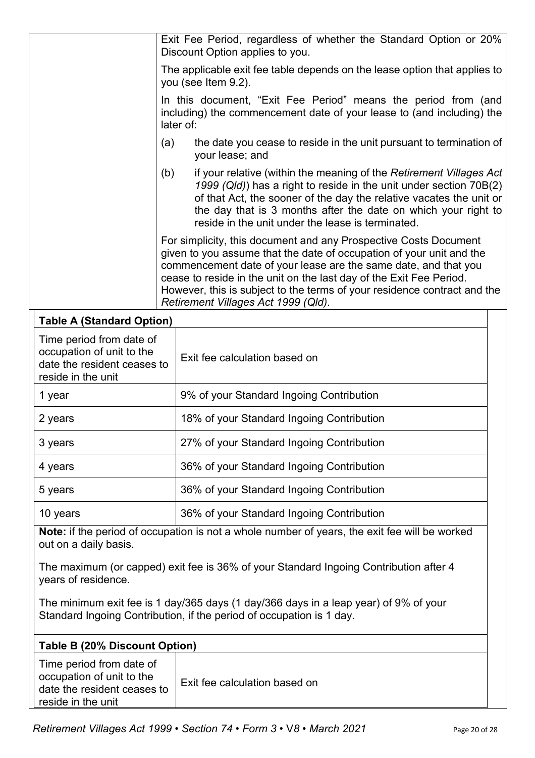|                                                                                                                        |                                                                                                                                                                               | Exit Fee Period, regardless of whether the Standard Option or 20%<br>Discount Option applies to you.                                                                                                                                                                                                                                                                                                  |  |  |
|------------------------------------------------------------------------------------------------------------------------|-------------------------------------------------------------------------------------------------------------------------------------------------------------------------------|-------------------------------------------------------------------------------------------------------------------------------------------------------------------------------------------------------------------------------------------------------------------------------------------------------------------------------------------------------------------------------------------------------|--|--|
|                                                                                                                        |                                                                                                                                                                               | The applicable exit fee table depends on the lease option that applies to<br>you (see Item 9.2).                                                                                                                                                                                                                                                                                                      |  |  |
|                                                                                                                        |                                                                                                                                                                               | In this document, "Exit Fee Period" means the period from (and<br>including) the commencement date of your lease to (and including) the<br>later of:                                                                                                                                                                                                                                                  |  |  |
|                                                                                                                        | (a)                                                                                                                                                                           | the date you cease to reside in the unit pursuant to termination of<br>your lease; and                                                                                                                                                                                                                                                                                                                |  |  |
| (b)                                                                                                                    |                                                                                                                                                                               | if your relative (within the meaning of the Retirement Villages Act<br>1999 (Qld)) has a right to reside in the unit under section 70B(2)<br>of that Act, the sooner of the day the relative vacates the unit or<br>the day that is 3 months after the date on which your right to<br>reside in the unit under the lease is terminated.                                                               |  |  |
|                                                                                                                        |                                                                                                                                                                               | For simplicity, this document and any Prospective Costs Document<br>given to you assume that the date of occupation of your unit and the<br>commencement date of your lease are the same date, and that you<br>cease to reside in the unit on the last day of the Exit Fee Period.<br>However, this is subject to the terms of your residence contract and the<br>Retirement Villages Act 1999 (Qld). |  |  |
| <b>Table A (Standard Option)</b>                                                                                       |                                                                                                                                                                               |                                                                                                                                                                                                                                                                                                                                                                                                       |  |  |
| Time period from date of<br>occupation of unit to the<br>date the resident ceases to<br>reside in the unit             |                                                                                                                                                                               | Exit fee calculation based on                                                                                                                                                                                                                                                                                                                                                                         |  |  |
| 1 year                                                                                                                 |                                                                                                                                                                               | 9% of your Standard Ingoing Contribution                                                                                                                                                                                                                                                                                                                                                              |  |  |
| 2 years                                                                                                                |                                                                                                                                                                               | 18% of your Standard Ingoing Contribution                                                                                                                                                                                                                                                                                                                                                             |  |  |
| 3 years                                                                                                                |                                                                                                                                                                               | 27% of your Standard Ingoing Contribution                                                                                                                                                                                                                                                                                                                                                             |  |  |
| 4 years                                                                                                                |                                                                                                                                                                               | 36% of your Standard Ingoing Contribution                                                                                                                                                                                                                                                                                                                                                             |  |  |
| 5 years                                                                                                                |                                                                                                                                                                               | 36% of your Standard Ingoing Contribution                                                                                                                                                                                                                                                                                                                                                             |  |  |
| 10 years                                                                                                               |                                                                                                                                                                               | 36% of your Standard Ingoing Contribution                                                                                                                                                                                                                                                                                                                                                             |  |  |
| Note: if the period of occupation is not a whole number of years, the exit fee will be worked<br>out on a daily basis. |                                                                                                                                                                               |                                                                                                                                                                                                                                                                                                                                                                                                       |  |  |
| years of residence.                                                                                                    | The maximum (or capped) exit fee is 36% of your Standard Ingoing Contribution after 4<br>The minimum exit fee is 1 day/365 days (1 day/366 days in a leap year) of 9% of your |                                                                                                                                                                                                                                                                                                                                                                                                       |  |  |
| Standard Ingoing Contribution, if the period of occupation is 1 day.                                                   |                                                                                                                                                                               |                                                                                                                                                                                                                                                                                                                                                                                                       |  |  |
| Table B (20% Discount Option)                                                                                          |                                                                                                                                                                               |                                                                                                                                                                                                                                                                                                                                                                                                       |  |  |
| Time period from date of<br>occupation of unit to the<br>date the resident ceases to<br>reside in the unit             |                                                                                                                                                                               | Exit fee calculation based on                                                                                                                                                                                                                                                                                                                                                                         |  |  |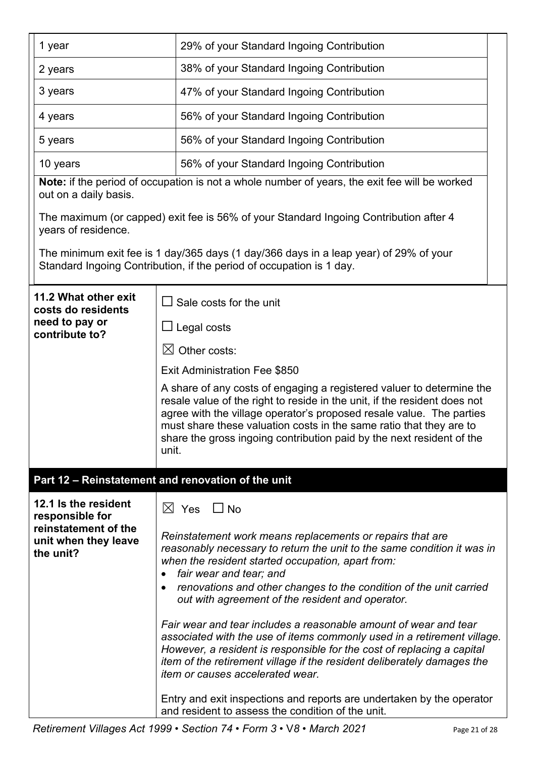| 1 year                                                                                               | 29% of your Standard Ingoing Contribution                                                                                                                                                                                                                                                                                                                                                                                                                                                                                                                                                                                                                                       |  |  |  |
|------------------------------------------------------------------------------------------------------|---------------------------------------------------------------------------------------------------------------------------------------------------------------------------------------------------------------------------------------------------------------------------------------------------------------------------------------------------------------------------------------------------------------------------------------------------------------------------------------------------------------------------------------------------------------------------------------------------------------------------------------------------------------------------------|--|--|--|
| 2 years                                                                                              | 38% of your Standard Ingoing Contribution                                                                                                                                                                                                                                                                                                                                                                                                                                                                                                                                                                                                                                       |  |  |  |
| 3 years                                                                                              | 47% of your Standard Ingoing Contribution                                                                                                                                                                                                                                                                                                                                                                                                                                                                                                                                                                                                                                       |  |  |  |
| 4 years                                                                                              | 56% of your Standard Ingoing Contribution                                                                                                                                                                                                                                                                                                                                                                                                                                                                                                                                                                                                                                       |  |  |  |
| 5 years                                                                                              | 56% of your Standard Ingoing Contribution                                                                                                                                                                                                                                                                                                                                                                                                                                                                                                                                                                                                                                       |  |  |  |
| 10 years                                                                                             | 56% of your Standard Ingoing Contribution                                                                                                                                                                                                                                                                                                                                                                                                                                                                                                                                                                                                                                       |  |  |  |
| out on a daily basis.                                                                                | Note: if the period of occupation is not a whole number of years, the exit fee will be worked                                                                                                                                                                                                                                                                                                                                                                                                                                                                                                                                                                                   |  |  |  |
| years of residence.                                                                                  | The maximum (or capped) exit fee is 56% of your Standard Ingoing Contribution after 4                                                                                                                                                                                                                                                                                                                                                                                                                                                                                                                                                                                           |  |  |  |
|                                                                                                      | The minimum exit fee is 1 day/365 days (1 day/366 days in a leap year) of 29% of your<br>Standard Ingoing Contribution, if the period of occupation is 1 day.                                                                                                                                                                                                                                                                                                                                                                                                                                                                                                                   |  |  |  |
| 11.2 What other exit<br>costs do residents                                                           | $\Box$ Sale costs for the unit                                                                                                                                                                                                                                                                                                                                                                                                                                                                                                                                                                                                                                                  |  |  |  |
| need to pay or<br>contribute to?                                                                     | ∐ Legal costs                                                                                                                                                                                                                                                                                                                                                                                                                                                                                                                                                                                                                                                                   |  |  |  |
|                                                                                                      | $\boxtimes$ Other costs:                                                                                                                                                                                                                                                                                                                                                                                                                                                                                                                                                                                                                                                        |  |  |  |
|                                                                                                      | Exit Administration Fee \$850                                                                                                                                                                                                                                                                                                                                                                                                                                                                                                                                                                                                                                                   |  |  |  |
|                                                                                                      | A share of any costs of engaging a registered valuer to determine the<br>resale value of the right to reside in the unit, if the resident does not<br>agree with the village operator's proposed resale value. The parties<br>must share these valuation costs in the same ratio that they are to<br>share the gross ingoing contribution paid by the next resident of the<br>unit.                                                                                                                                                                                                                                                                                             |  |  |  |
|                                                                                                      | Part 12 - Reinstatement and renovation of the unit                                                                                                                                                                                                                                                                                                                                                                                                                                                                                                                                                                                                                              |  |  |  |
| 12.1 Is the resident<br>responsible for<br>reinstatement of the<br>unit when they leave<br>the unit? | $\boxtimes$ Yes $\Box$ No<br>Reinstatement work means replacements or repairs that are<br>reasonably necessary to return the unit to the same condition it was in<br>when the resident started occupation, apart from:<br>fair wear and tear; and<br>renovations and other changes to the condition of the unit carried<br>out with agreement of the resident and operator.<br>Fair wear and tear includes a reasonable amount of wear and tear<br>associated with the use of items commonly used in a retirement village.<br>However, a resident is responsible for the cost of replacing a capital<br>item of the retirement village if the resident deliberately damages the |  |  |  |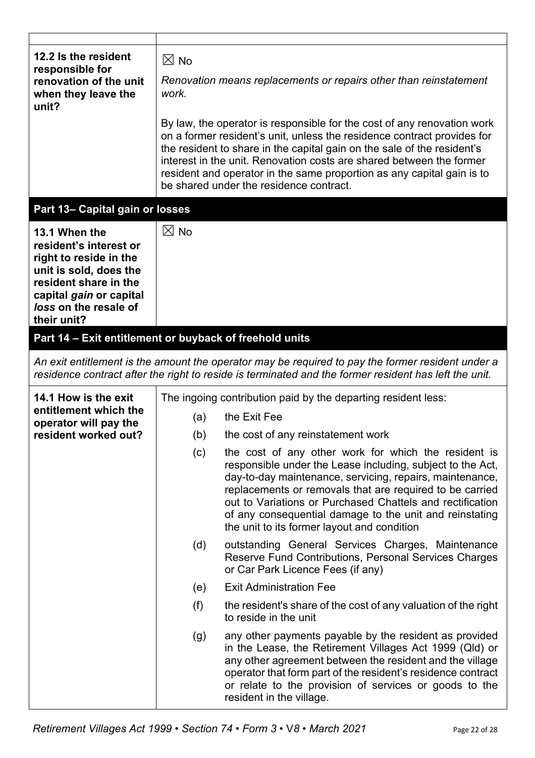| 12.2 Is the resident<br>responsible for<br>renovation of the unit<br>when they leave the<br>unit?                                                                                       | $\boxtimes$ No<br>Renovation means replacements or repairs other than reinstatement<br>work.<br>By law, the operator is responsible for the cost of any renovation work |                                                                                                                                                                                                                                                                                                                                                                                                                   |  |
|-----------------------------------------------------------------------------------------------------------------------------------------------------------------------------------------|-------------------------------------------------------------------------------------------------------------------------------------------------------------------------|-------------------------------------------------------------------------------------------------------------------------------------------------------------------------------------------------------------------------------------------------------------------------------------------------------------------------------------------------------------------------------------------------------------------|--|
|                                                                                                                                                                                         |                                                                                                                                                                         | on a former resident's unit, unless the residence contract provides for<br>the resident to share in the capital gain on the sale of the resident's<br>interest in the unit. Renovation costs are shared between the former<br>resident and operator in the same proportion as any capital gain is to<br>be shared under the residence contract.                                                                   |  |
| Part 13- Capital gain or losses                                                                                                                                                         |                                                                                                                                                                         |                                                                                                                                                                                                                                                                                                                                                                                                                   |  |
| 13.1 When the<br>resident's interest or<br>right to reside in the<br>unit is sold, does the<br>resident share in the<br>capital gain or capital<br>loss on the resale of<br>their unit? | $\boxtimes$ No                                                                                                                                                          |                                                                                                                                                                                                                                                                                                                                                                                                                   |  |
| Part 14 - Exit entitlement or buyback of freehold units                                                                                                                                 |                                                                                                                                                                         |                                                                                                                                                                                                                                                                                                                                                                                                                   |  |
|                                                                                                                                                                                         |                                                                                                                                                                         | An exit entitlement is the amount the operator may be required to pay the former resident under a<br>residence contract after the right to reside is terminated and the former resident has left the unit.                                                                                                                                                                                                        |  |
| 14.1 How is the exit                                                                                                                                                                    | The ingoing contribution paid by the departing resident less:                                                                                                           |                                                                                                                                                                                                                                                                                                                                                                                                                   |  |
| entitlement which the<br>operator will pay the                                                                                                                                          | (a)                                                                                                                                                                     | the Exit Fee                                                                                                                                                                                                                                                                                                                                                                                                      |  |
| resident worked out?                                                                                                                                                                    | (b)                                                                                                                                                                     | the cost of any reinstatement work                                                                                                                                                                                                                                                                                                                                                                                |  |
|                                                                                                                                                                                         | (c)                                                                                                                                                                     | the cost of any other work for which the resident is<br>responsible under the Lease including, subject to the Act,<br>day-to-day maintenance, servicing, repairs, maintenance,<br>replacements or removals that are required to be carried<br>out to Variations or Purchased Chattels and rectification<br>of any consequential damage to the unit and reinstating<br>the unit to its former layout and condition |  |
|                                                                                                                                                                                         | (d)                                                                                                                                                                     | outstanding General Services Charges, Maintenance<br>Reserve Fund Contributions, Personal Services Charges<br>or Car Park Licence Fees (if any)                                                                                                                                                                                                                                                                   |  |
|                                                                                                                                                                                         | (e)                                                                                                                                                                     | <b>Exit Administration Fee</b>                                                                                                                                                                                                                                                                                                                                                                                    |  |
|                                                                                                                                                                                         | (f)                                                                                                                                                                     | the resident's share of the cost of any valuation of the right<br>to reside in the unit                                                                                                                                                                                                                                                                                                                           |  |
|                                                                                                                                                                                         | (g)                                                                                                                                                                     | any other payments payable by the resident as provided<br>in the Lease, the Retirement Villages Act 1999 (Qld) or<br>any other agreement between the resident and the village<br>operator that form part of the resident's residence contract<br>or relate to the provision of services or goods to the<br>resident in the village.                                                                               |  |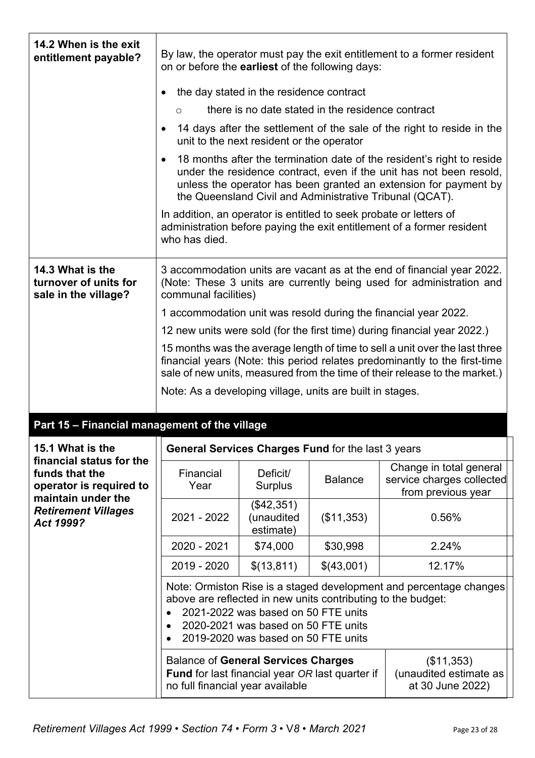| 14.2 When is the exit<br>entitlement payable?                                               | on or before the earliest of the following days:                                                                                         |                                                                                                                   |                                                              | By law, the operator must pay the exit entitlement to a former resident                                                                                                                                                                                                       |
|---------------------------------------------------------------------------------------------|------------------------------------------------------------------------------------------------------------------------------------------|-------------------------------------------------------------------------------------------------------------------|--------------------------------------------------------------|-------------------------------------------------------------------------------------------------------------------------------------------------------------------------------------------------------------------------------------------------------------------------------|
|                                                                                             |                                                                                                                                          | the day stated in the residence contract                                                                          |                                                              |                                                                                                                                                                                                                                                                               |
|                                                                                             | $\circ$                                                                                                                                  |                                                                                                                   | there is no date stated in the residence contract            |                                                                                                                                                                                                                                                                               |
|                                                                                             |                                                                                                                                          | unit to the next resident or the operator                                                                         |                                                              | 14 days after the settlement of the sale of the right to reside in the                                                                                                                                                                                                        |
|                                                                                             |                                                                                                                                          |                                                                                                                   |                                                              | 18 months after the termination date of the resident's right to reside<br>under the residence contract, even if the unit has not been resold,<br>unless the operator has been granted an extension for payment by<br>the Queensland Civil and Administrative Tribunal (QCAT). |
|                                                                                             | In addition, an operator is entitled to seek probate or letters of<br>who has died.                                                      |                                                                                                                   |                                                              | administration before paying the exit entitlement of a former resident                                                                                                                                                                                                        |
| 14.3 What is the<br>turnover of units for<br>sale in the village?                           | communal facilities)                                                                                                                     |                                                                                                                   |                                                              | 3 accommodation units are vacant as at the end of financial year 2022.<br>(Note: These 3 units are currently being used for administration and                                                                                                                                |
|                                                                                             |                                                                                                                                          |                                                                                                                   |                                                              | 1 accommodation unit was resold during the financial year 2022.                                                                                                                                                                                                               |
|                                                                                             |                                                                                                                                          |                                                                                                                   |                                                              | 12 new units were sold (for the first time) during financial year 2022.)                                                                                                                                                                                                      |
|                                                                                             |                                                                                                                                          |                                                                                                                   |                                                              | 15 months was the average length of time to sell a unit over the last three                                                                                                                                                                                                   |
|                                                                                             |                                                                                                                                          |                                                                                                                   |                                                              | financial years (Note: this period relates predominantly to the first-time<br>sale of new units, measured from the time of their release to the market.)                                                                                                                      |
|                                                                                             | Note: As a developing village, units are built in stages.                                                                                |                                                                                                                   |                                                              |                                                                                                                                                                                                                                                                               |
|                                                                                             |                                                                                                                                          |                                                                                                                   |                                                              |                                                                                                                                                                                                                                                                               |
| Part 15 - Financial management of the village                                               |                                                                                                                                          |                                                                                                                   |                                                              |                                                                                                                                                                                                                                                                               |
| 15.1 What is the                                                                            |                                                                                                                                          |                                                                                                                   | General Services Charges Fund for the last 3 years           |                                                                                                                                                                                                                                                                               |
| financial status for the<br>funds that the<br>operator is required to<br>maintain under the | Financial<br>Year                                                                                                                        | Deficit/<br><b>Surplus</b>                                                                                        | <b>Balance</b>                                               | Change in total general<br>service charges collected<br>from previous year                                                                                                                                                                                                    |
| <b>Retirement Villages</b><br>Act 1999?                                                     | 2021 - 2022                                                                                                                              | (\$42,351)<br>(unaudited<br>estimate)                                                                             | (\$11,353)                                                   | 0.56%                                                                                                                                                                                                                                                                         |
|                                                                                             | 2020 - 2021                                                                                                                              | \$74,000                                                                                                          | \$30,998                                                     | 2.24%                                                                                                                                                                                                                                                                         |
|                                                                                             | 2019 - 2020                                                                                                                              | \$(13,811)                                                                                                        | \$(43,001)                                                   | 12.17%                                                                                                                                                                                                                                                                        |
|                                                                                             | $\bullet$                                                                                                                                | 2021-2022 was based on 50 FTE units<br>2020-2021 was based on 50 FTE units<br>2019-2020 was based on 50 FTE units | above are reflected in new units contributing to the budget: | Note: Ormiston Rise is a staged development and percentage changes                                                                                                                                                                                                            |
|                                                                                             | <b>Balance of General Services Charges</b><br><b>Fund</b> for last financial year OR last quarter if<br>no full financial year available |                                                                                                                   |                                                              | (\$11,353)<br>(unaudited estimate as<br>at 30 June 2022)                                                                                                                                                                                                                      |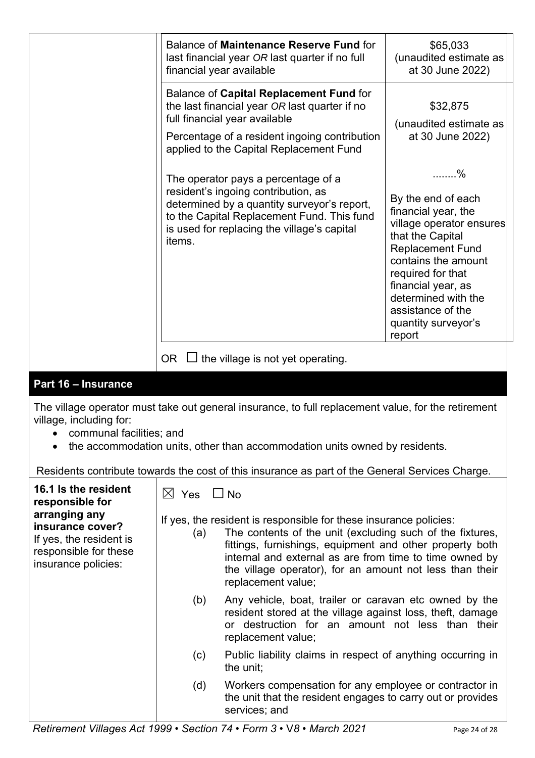| Balance of Maintenance Reserve Fund for<br>last financial year OR last quarter if no full<br>financial year available                                                                                                            | \$65,033<br>(unaudited estimate as<br>at 30 June 2022)                                                                                                                                                                                                                     |
|----------------------------------------------------------------------------------------------------------------------------------------------------------------------------------------------------------------------------------|----------------------------------------------------------------------------------------------------------------------------------------------------------------------------------------------------------------------------------------------------------------------------|
| Balance of Capital Replacement Fund for<br>the last financial year OR last quarter if no<br>full financial year available<br>Percentage of a resident ingoing contribution<br>applied to the Capital Replacement Fund            | \$32,875<br>(unaudited estimate as<br>at 30 June 2022)                                                                                                                                                                                                                     |
| The operator pays a percentage of a<br>resident's ingoing contribution, as<br>determined by a quantity surveyor's report,<br>to the Capital Replacement Fund. This fund<br>is used for replacing the village's capital<br>items. | . %<br>By the end of each<br>financial year, the<br>village operator ensures<br>that the Capital<br><b>Replacement Fund</b><br>contains the amount<br>required for that<br>financial year, as<br>determined with the<br>assistance of the<br>quantity surveyor's<br>report |
| OR I<br>the village is not yet operating.                                                                                                                                                                                        |                                                                                                                                                                                                                                                                            |

## **Part 16 – Insurance**

The village operator must take out general insurance, to full replacement value, for the retirement village, including for:

- communal facilities; and
- the accommodation units, other than accommodation units owned by residents.

Residents contribute towards the cost of this insurance as part of the General Services Charge.

| 16.1 Is the resident<br>responsible for<br>arranging any<br>insurance cover?<br>If yes, the resident is<br>responsible for these<br>insurance policies: | $\bowtie$<br>Yes<br>(a) | $\Box$ No<br>If yes, the resident is responsible for these insurance policies:<br>The contents of the unit (excluding such of the fixtures,<br>fittings, furnishings, equipment and other property both<br>internal and external as are from time to time owned by<br>the village operator), for an amount not less than their<br>replacement value; |
|---------------------------------------------------------------------------------------------------------------------------------------------------------|-------------------------|------------------------------------------------------------------------------------------------------------------------------------------------------------------------------------------------------------------------------------------------------------------------------------------------------------------------------------------------------|
|                                                                                                                                                         | (b)                     | Any vehicle, boat, trailer or caravan etc owned by the<br>resident stored at the village against loss, theft, damage<br>or destruction for an amount not less than their<br>replacement value;                                                                                                                                                       |
|                                                                                                                                                         | (c)                     | Public liability claims in respect of anything occurring in<br>the unit;                                                                                                                                                                                                                                                                             |
|                                                                                                                                                         | (d)                     | Workers compensation for any employee or contractor in<br>the unit that the resident engages to carry out or provides<br>services; and                                                                                                                                                                                                               |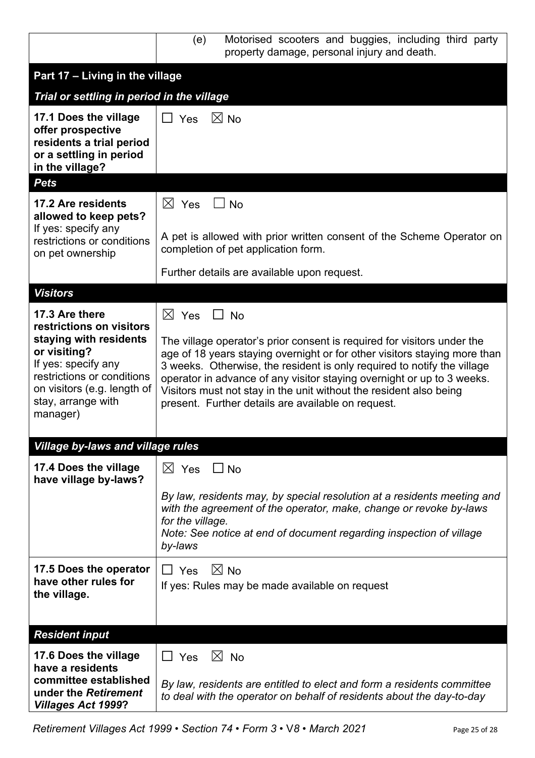|                                                                                                                                                                                          | Motorised scooters and buggies, including third party<br>(e)<br>property damage, personal injury and death.                                                                                                                                                                                                                                                                                                                           |
|------------------------------------------------------------------------------------------------------------------------------------------------------------------------------------------|---------------------------------------------------------------------------------------------------------------------------------------------------------------------------------------------------------------------------------------------------------------------------------------------------------------------------------------------------------------------------------------------------------------------------------------|
| Part 17 - Living in the village                                                                                                                                                          |                                                                                                                                                                                                                                                                                                                                                                                                                                       |
| Trial or settling in period in the village                                                                                                                                               |                                                                                                                                                                                                                                                                                                                                                                                                                                       |
| 17.1 Does the village<br>offer prospective<br>residents a trial period<br>or a settling in period<br>in the village?<br><b>Pets</b>                                                      | $\boxtimes$ No<br>$\Box$ Yes                                                                                                                                                                                                                                                                                                                                                                                                          |
| 17.2 Are residents                                                                                                                                                                       | $\boxtimes$ Yes<br><b>No</b>                                                                                                                                                                                                                                                                                                                                                                                                          |
| allowed to keep pets?                                                                                                                                                                    |                                                                                                                                                                                                                                                                                                                                                                                                                                       |
| If yes: specify any<br>restrictions or conditions<br>on pet ownership                                                                                                                    | A pet is allowed with prior written consent of the Scheme Operator on<br>completion of pet application form.                                                                                                                                                                                                                                                                                                                          |
|                                                                                                                                                                                          | Further details are available upon request.                                                                                                                                                                                                                                                                                                                                                                                           |
| <b>Visitors</b>                                                                                                                                                                          |                                                                                                                                                                                                                                                                                                                                                                                                                                       |
| 17.3 Are there                                                                                                                                                                           | $\boxtimes$ Yes<br>$\Box$ No                                                                                                                                                                                                                                                                                                                                                                                                          |
| restrictions on visitors<br>staying with residents<br>or visiting?<br>If yes: specify any<br>restrictions or conditions<br>on visitors (e.g. length of<br>stay, arrange with<br>manager) | The village operator's prior consent is required for visitors under the<br>age of 18 years staying overnight or for other visitors staying more than<br>3 weeks. Otherwise, the resident is only required to notify the village<br>operator in advance of any visitor staying overnight or up to 3 weeks.<br>Visitors must not stay in the unit without the resident also being<br>present. Further details are available on request. |
| <b>Village by-laws and village rules</b>                                                                                                                                                 |                                                                                                                                                                                                                                                                                                                                                                                                                                       |
| 17.4 Does the village<br>have village by-laws?                                                                                                                                           | $\boxtimes$ Yes<br>$\Box$ No                                                                                                                                                                                                                                                                                                                                                                                                          |
|                                                                                                                                                                                          | By law, residents may, by special resolution at a residents meeting and<br>with the agreement of the operator, make, change or revoke by-laws<br>for the village.<br>Note: See notice at end of document regarding inspection of village<br>by-laws                                                                                                                                                                                   |
| 17.5 Does the operator<br>have other rules for<br>the village.                                                                                                                           | $\boxtimes$ No<br>$\sqcup$ Yes<br>If yes: Rules may be made available on request                                                                                                                                                                                                                                                                                                                                                      |
| <b>Resident input</b>                                                                                                                                                                    |                                                                                                                                                                                                                                                                                                                                                                                                                                       |
| 17.6 Does the village                                                                                                                                                                    | $\boxtimes$ No<br>$\Box$ Yes                                                                                                                                                                                                                                                                                                                                                                                                          |
| have a residents                                                                                                                                                                         |                                                                                                                                                                                                                                                                                                                                                                                                                                       |
| committee established<br>under the Retirement<br><b>Villages Act 1999?</b>                                                                                                               | By law, residents are entitled to elect and form a residents committee<br>to deal with the operator on behalf of residents about the day-to-day                                                                                                                                                                                                                                                                                       |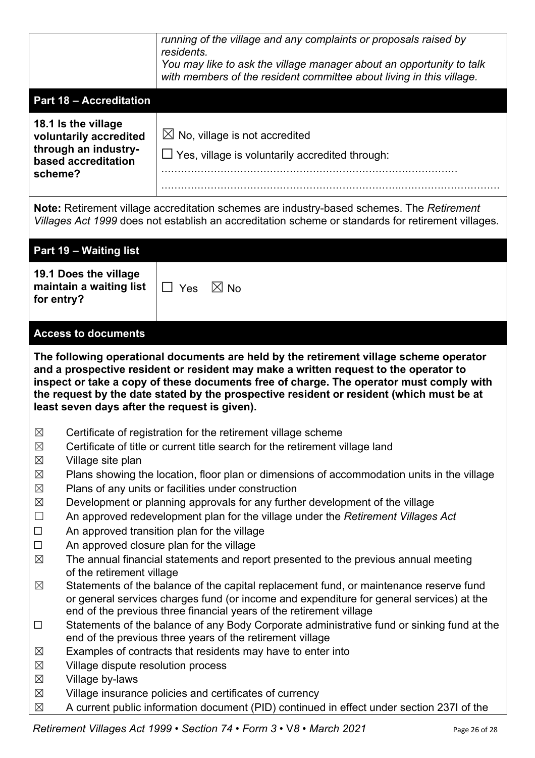|                                                                                                                                                                                                                                                                                                                                                                                                                        |                                | running of the village and any complaints or proposals raised by<br>residents.<br>You may like to ask the village manager about an opportunity to talk<br>with members of the resident committee about living in this village.                            |
|------------------------------------------------------------------------------------------------------------------------------------------------------------------------------------------------------------------------------------------------------------------------------------------------------------------------------------------------------------------------------------------------------------------------|--------------------------------|-----------------------------------------------------------------------------------------------------------------------------------------------------------------------------------------------------------------------------------------------------------|
|                                                                                                                                                                                                                                                                                                                                                                                                                        | <b>Part 18 - Accreditation</b> |                                                                                                                                                                                                                                                           |
| 18.1 Is the village<br>through an industry-<br>based accreditation<br>scheme?                                                                                                                                                                                                                                                                                                                                          | voluntarily accredited         | $\boxtimes$ No, village is not accredited<br>□ Yes, village is voluntarily accredited through:                                                                                                                                                            |
|                                                                                                                                                                                                                                                                                                                                                                                                                        |                                | Note: Retirement village accreditation schemes are industry-based schemes. The Retirement<br>Villages Act 1999 does not establish an accreditation scheme or standards for retirement villages.                                                           |
| Part 19 - Waiting list                                                                                                                                                                                                                                                                                                                                                                                                 |                                |                                                                                                                                                                                                                                                           |
| 19.1 Does the village<br>for entry?                                                                                                                                                                                                                                                                                                                                                                                    | maintain a waiting list        | $\boxtimes$ No<br>$\Box$ Yes                                                                                                                                                                                                                              |
|                                                                                                                                                                                                                                                                                                                                                                                                                        | <b>Access to documents</b>     |                                                                                                                                                                                                                                                           |
| The following operational documents are held by the retirement village scheme operator<br>and a prospective resident or resident may make a written request to the operator to<br>inspect or take a copy of these documents free of charge. The operator must comply with<br>the request by the date stated by the prospective resident or resident (which must be at<br>least seven days after the request is given). |                                |                                                                                                                                                                                                                                                           |
|                                                                                                                                                                                                                                                                                                                                                                                                                        |                                |                                                                                                                                                                                                                                                           |
|                                                                                                                                                                                                                                                                                                                                                                                                                        |                                |                                                                                                                                                                                                                                                           |
| $\boxtimes$<br>$\boxtimes$                                                                                                                                                                                                                                                                                                                                                                                             |                                | Certificate of registration for the retirement village scheme<br>Certificate of title or current title search for the retirement village land                                                                                                             |
| $\boxtimes$                                                                                                                                                                                                                                                                                                                                                                                                            | Village site plan              |                                                                                                                                                                                                                                                           |
| $\boxtimes$                                                                                                                                                                                                                                                                                                                                                                                                            |                                | Plans showing the location, floor plan or dimensions of accommodation units in the village                                                                                                                                                                |
| $\boxtimes$                                                                                                                                                                                                                                                                                                                                                                                                            |                                | Plans of any units or facilities under construction                                                                                                                                                                                                       |
| $\boxtimes$                                                                                                                                                                                                                                                                                                                                                                                                            |                                | Development or planning approvals for any further development of the village                                                                                                                                                                              |
| $\Box$                                                                                                                                                                                                                                                                                                                                                                                                                 |                                | An approved redevelopment plan for the village under the Retirement Villages Act                                                                                                                                                                          |
| $\Box$                                                                                                                                                                                                                                                                                                                                                                                                                 |                                | An approved transition plan for the village                                                                                                                                                                                                               |
| $\Box$                                                                                                                                                                                                                                                                                                                                                                                                                 |                                | An approved closure plan for the village                                                                                                                                                                                                                  |
| $\boxtimes$                                                                                                                                                                                                                                                                                                                                                                                                            | of the retirement village      | The annual financial statements and report presented to the previous annual meeting                                                                                                                                                                       |
| $\boxtimes$                                                                                                                                                                                                                                                                                                                                                                                                            |                                | Statements of the balance of the capital replacement fund, or maintenance reserve fund<br>or general services charges fund (or income and expenditure for general services) at the<br>end of the previous three financial years of the retirement village |
| $\Box$                                                                                                                                                                                                                                                                                                                                                                                                                 |                                | Statements of the balance of any Body Corporate administrative fund or sinking fund at the                                                                                                                                                                |
|                                                                                                                                                                                                                                                                                                                                                                                                                        |                                | end of the previous three years of the retirement village                                                                                                                                                                                                 |
| $\boxtimes$                                                                                                                                                                                                                                                                                                                                                                                                            |                                | Examples of contracts that residents may have to enter into                                                                                                                                                                                               |
| $\boxtimes$                                                                                                                                                                                                                                                                                                                                                                                                            |                                | Village dispute resolution process                                                                                                                                                                                                                        |
| $\boxtimes$<br>$\boxtimes$                                                                                                                                                                                                                                                                                                                                                                                             | Village by-laws                | Village insurance policies and certificates of currency                                                                                                                                                                                                   |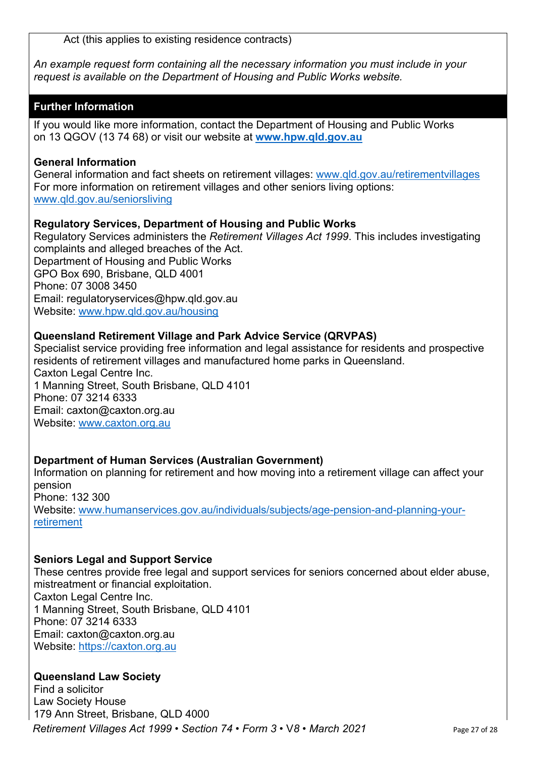Act (this applies to existing residence contracts)

*An example request form containing all the necessary information you must include in your request is available on the Department of Housing and Public Works website.*

#### **Further Information**

If you would like more information, contact the Department of Housing and Public Works on 13 QGOV (13 74 68) or visit our website at **www.hpw.qld.gov.au**

#### **General Information**

General information and fact sheets on retirement villages: www.qld.gov.au/retirementvillages For more information on retirement villages and other seniors living options: www.qld.gov.au/seniorsliving

#### **Regulatory Services, Department of Housing and Public Works**

Regulatory Services administers the *Retirement Villages Act 1999*. This includes investigating complaints and alleged breaches of the Act. Department of Housing and Public Works GPO Box 690, Brisbane, QLD 4001 Phone: 07 3008 3450 Email: regulatoryservices@hpw.qld.gov.au Website: www.hpw.qld.gov.au/housing

#### **Queensland Retirement Village and Park Advice Service (QRVPAS)**

Specialist service providing free information and legal assistance for residents and prospective residents of retirement villages and manufactured home parks in Queensland. Caxton Legal Centre Inc. 1 Manning Street, South Brisbane, QLD 4101 Phone: 07 3214 6333 Email: caxton@caxton.org.au Website: www.caxton.org.au

#### **Department of Human Services (Australian Government)**

Information on planning for retirement and how moving into a retirement village can affect your pension Phone: 132 300 Website: www.humanservices.gov.au/individuals/subjects/age-pension-and-planning-yourretirement

#### **Seniors Legal and Support Service**

These centres provide free legal and support services for seniors concerned about elder abuse, mistreatment or financial exploitation. Caxton Legal Centre Inc. 1 Manning Street, South Brisbane, QLD 4101 Phone: 07 3214 6333 Email: caxton@caxton.org.au Website: https://caxton.org.au

#### **Queensland Law Society**

*Retirement Villages Act 1999* • *Section 74* • *Form 3* • V*8 • March 2021* Page 27 of 28 Find a solicitor Law Society House 179 Ann Street, Brisbane, QLD 4000